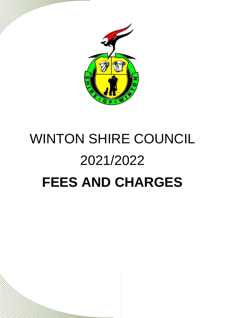

## WINTON SHIRE COUNCIL 2021/2022 **FEES AND CHARGES**

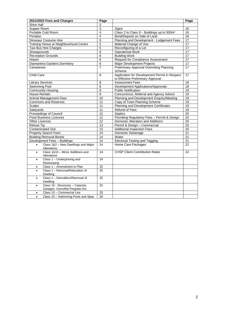| Shire Hall<br>3<br>Supper Room<br>3<br>Signs<br>16<br>Portable Cold Room<br>$\overline{\mathbf{4}}$<br>Class 2 to Class 9 - Buildings up to 500m <sup>2</sup><br>16<br>4<br>16<br>Portaloo<br>Bond/Deposit on Sale of Land<br>$\overline{5}$<br>Planning and Development - Lodgement Fees<br>Dinosaur Costume Hire<br>17<br>5<br>$\overline{17}$<br>Training Venue at Neighbourhood Centre<br>Material Change of Use<br>$\overline{5}$<br>17<br>Reconfiguring of a Lot<br>Taxi Bus Hire Charges<br>6<br><b>Operational Work</b><br>17<br>Showgrounds<br>$\overline{17}$<br><b>Recreation Grounds</b><br>6<br><b>Building Work</b><br><b>Request for Compliance Assessment</b><br>17<br>Airport<br>6<br>Major Development Projects<br>$\overline{17}$<br>Diamantina Gardens Dormitory<br>6<br>$\overline{7}$<br>$\overline{17}$<br>Cemeteries<br>Preliminary Approval Overriding Planning<br>Scheme<br>Application for Development Permit in Respect<br>17<br>Child Care<br>8<br>to Effective Preliminary Approval<br><b>Assessment Fees</b><br>18<br><b>Library Services</b><br>8<br>$\overline{18}$<br>Swimming Pool<br>8<br>Development Applications/Approvals<br><b>Community Housing</b><br>9<br><b>Public Notification</b><br>19<br>$\overline{9}$<br>Concurrence, Referral and Agency Advice<br>$\overline{19}$<br><b>House Rentals</b><br><b>Animal Management Fees</b><br>Planning and Development Enquiry/Meeting<br>10<br>19<br><b>Commons and Reserves</b><br>11<br>Copy of Town Planning Scheme<br>19<br>19<br><b>Scalps</b><br>11<br>Planning and Development Certificates<br>Saleyards<br>11<br>Refund of Fees<br>19<br>12<br>$\overline{20}$<br>Proceedings of Council<br>Septics<br>12<br><b>Food Business Licences</b><br>Plumbing Regulatory Fees - Permit & Design<br>$\overline{20}$<br>$\overline{12}$<br>$\overline{20}$<br><b>Other Licences</b><br>Domestic Alteration and Additions<br>13<br>Permit & Design - Commercial<br>$\overline{20}$<br><b>Refuse Tip</b><br><b>Contaminated Soil</b><br>$\overline{13}$<br>$\overline{20}$<br><b>Additional Inspection Fees</b><br>14<br>21<br><b>Property Search Fees</b><br><b>Domestic Sewerage</b><br><b>Building Removal Bonds</b><br>14<br>Water<br>$\overline{21}$<br>$\overline{14}$<br><b>Electrical Testing and Tagging</b><br>Development Fees - Buildings<br>21<br>Class 1&2 - New Dwellings and Major<br>14<br>Home Care Packages<br>22<br>$\bullet$<br>Alterations<br>Class 1&10 - Minor Additions and<br>14<br><b>CHSP Client Contribution Rates</b><br>22<br>$\bullet$<br>Alterations<br>14<br>Class 1 - Underpinning and<br>$\bullet$<br>Restumping<br>Class 1 - Amendment to Plan<br>15<br>$\bullet$<br>$\overline{15}$<br>Class 1 - Removal/Relocation of<br>٠<br>Dwelling<br>Class 1 - Demolition/Removal of<br>15<br>$\bullet$<br>Dwelling<br>Class 10 - Structures - Carports,<br>15<br>$\bullet$<br>Garages, Unroofed Pergolas Etc<br>15<br>Class 10 - Commercial Use<br>$\bullet$ | 2021/2022 Fees and Charges                      | Page | Page |
|-----------------------------------------------------------------------------------------------------------------------------------------------------------------------------------------------------------------------------------------------------------------------------------------------------------------------------------------------------------------------------------------------------------------------------------------------------------------------------------------------------------------------------------------------------------------------------------------------------------------------------------------------------------------------------------------------------------------------------------------------------------------------------------------------------------------------------------------------------------------------------------------------------------------------------------------------------------------------------------------------------------------------------------------------------------------------------------------------------------------------------------------------------------------------------------------------------------------------------------------------------------------------------------------------------------------------------------------------------------------------------------------------------------------------------------------------------------------------------------------------------------------------------------------------------------------------------------------------------------------------------------------------------------------------------------------------------------------------------------------------------------------------------------------------------------------------------------------------------------------------------------------------------------------------------------------------------------------------------------------------------------------------------------------------------------------------------------------------------------------------------------------------------------------------------------------------------------------------------------------------------------------------------------------------------------------------------------------------------------------------------------------------------------------------------------------------------------------------------------------------------------------------------------------------------------------------------------------------------------------------------------------------------------------------------------------------------------------------------------------------------------------------------------------------------------------------------------------------------------------------------------------------------------------------------------------------------------------------------|-------------------------------------------------|------|------|
|                                                                                                                                                                                                                                                                                                                                                                                                                                                                                                                                                                                                                                                                                                                                                                                                                                                                                                                                                                                                                                                                                                                                                                                                                                                                                                                                                                                                                                                                                                                                                                                                                                                                                                                                                                                                                                                                                                                                                                                                                                                                                                                                                                                                                                                                                                                                                                                                                                                                                                                                                                                                                                                                                                                                                                                                                                                                                                                                                                             |                                                 |      |      |
|                                                                                                                                                                                                                                                                                                                                                                                                                                                                                                                                                                                                                                                                                                                                                                                                                                                                                                                                                                                                                                                                                                                                                                                                                                                                                                                                                                                                                                                                                                                                                                                                                                                                                                                                                                                                                                                                                                                                                                                                                                                                                                                                                                                                                                                                                                                                                                                                                                                                                                                                                                                                                                                                                                                                                                                                                                                                                                                                                                             |                                                 |      |      |
|                                                                                                                                                                                                                                                                                                                                                                                                                                                                                                                                                                                                                                                                                                                                                                                                                                                                                                                                                                                                                                                                                                                                                                                                                                                                                                                                                                                                                                                                                                                                                                                                                                                                                                                                                                                                                                                                                                                                                                                                                                                                                                                                                                                                                                                                                                                                                                                                                                                                                                                                                                                                                                                                                                                                                                                                                                                                                                                                                                             |                                                 |      |      |
|                                                                                                                                                                                                                                                                                                                                                                                                                                                                                                                                                                                                                                                                                                                                                                                                                                                                                                                                                                                                                                                                                                                                                                                                                                                                                                                                                                                                                                                                                                                                                                                                                                                                                                                                                                                                                                                                                                                                                                                                                                                                                                                                                                                                                                                                                                                                                                                                                                                                                                                                                                                                                                                                                                                                                                                                                                                                                                                                                                             |                                                 |      |      |
|                                                                                                                                                                                                                                                                                                                                                                                                                                                                                                                                                                                                                                                                                                                                                                                                                                                                                                                                                                                                                                                                                                                                                                                                                                                                                                                                                                                                                                                                                                                                                                                                                                                                                                                                                                                                                                                                                                                                                                                                                                                                                                                                                                                                                                                                                                                                                                                                                                                                                                                                                                                                                                                                                                                                                                                                                                                                                                                                                                             |                                                 |      |      |
|                                                                                                                                                                                                                                                                                                                                                                                                                                                                                                                                                                                                                                                                                                                                                                                                                                                                                                                                                                                                                                                                                                                                                                                                                                                                                                                                                                                                                                                                                                                                                                                                                                                                                                                                                                                                                                                                                                                                                                                                                                                                                                                                                                                                                                                                                                                                                                                                                                                                                                                                                                                                                                                                                                                                                                                                                                                                                                                                                                             |                                                 |      |      |
|                                                                                                                                                                                                                                                                                                                                                                                                                                                                                                                                                                                                                                                                                                                                                                                                                                                                                                                                                                                                                                                                                                                                                                                                                                                                                                                                                                                                                                                                                                                                                                                                                                                                                                                                                                                                                                                                                                                                                                                                                                                                                                                                                                                                                                                                                                                                                                                                                                                                                                                                                                                                                                                                                                                                                                                                                                                                                                                                                                             |                                                 |      |      |
|                                                                                                                                                                                                                                                                                                                                                                                                                                                                                                                                                                                                                                                                                                                                                                                                                                                                                                                                                                                                                                                                                                                                                                                                                                                                                                                                                                                                                                                                                                                                                                                                                                                                                                                                                                                                                                                                                                                                                                                                                                                                                                                                                                                                                                                                                                                                                                                                                                                                                                                                                                                                                                                                                                                                                                                                                                                                                                                                                                             |                                                 |      |      |
|                                                                                                                                                                                                                                                                                                                                                                                                                                                                                                                                                                                                                                                                                                                                                                                                                                                                                                                                                                                                                                                                                                                                                                                                                                                                                                                                                                                                                                                                                                                                                                                                                                                                                                                                                                                                                                                                                                                                                                                                                                                                                                                                                                                                                                                                                                                                                                                                                                                                                                                                                                                                                                                                                                                                                                                                                                                                                                                                                                             |                                                 |      |      |
|                                                                                                                                                                                                                                                                                                                                                                                                                                                                                                                                                                                                                                                                                                                                                                                                                                                                                                                                                                                                                                                                                                                                                                                                                                                                                                                                                                                                                                                                                                                                                                                                                                                                                                                                                                                                                                                                                                                                                                                                                                                                                                                                                                                                                                                                                                                                                                                                                                                                                                                                                                                                                                                                                                                                                                                                                                                                                                                                                                             |                                                 |      |      |
|                                                                                                                                                                                                                                                                                                                                                                                                                                                                                                                                                                                                                                                                                                                                                                                                                                                                                                                                                                                                                                                                                                                                                                                                                                                                                                                                                                                                                                                                                                                                                                                                                                                                                                                                                                                                                                                                                                                                                                                                                                                                                                                                                                                                                                                                                                                                                                                                                                                                                                                                                                                                                                                                                                                                                                                                                                                                                                                                                                             |                                                 |      |      |
|                                                                                                                                                                                                                                                                                                                                                                                                                                                                                                                                                                                                                                                                                                                                                                                                                                                                                                                                                                                                                                                                                                                                                                                                                                                                                                                                                                                                                                                                                                                                                                                                                                                                                                                                                                                                                                                                                                                                                                                                                                                                                                                                                                                                                                                                                                                                                                                                                                                                                                                                                                                                                                                                                                                                                                                                                                                                                                                                                                             |                                                 |      |      |
|                                                                                                                                                                                                                                                                                                                                                                                                                                                                                                                                                                                                                                                                                                                                                                                                                                                                                                                                                                                                                                                                                                                                                                                                                                                                                                                                                                                                                                                                                                                                                                                                                                                                                                                                                                                                                                                                                                                                                                                                                                                                                                                                                                                                                                                                                                                                                                                                                                                                                                                                                                                                                                                                                                                                                                                                                                                                                                                                                                             |                                                 |      |      |
|                                                                                                                                                                                                                                                                                                                                                                                                                                                                                                                                                                                                                                                                                                                                                                                                                                                                                                                                                                                                                                                                                                                                                                                                                                                                                                                                                                                                                                                                                                                                                                                                                                                                                                                                                                                                                                                                                                                                                                                                                                                                                                                                                                                                                                                                                                                                                                                                                                                                                                                                                                                                                                                                                                                                                                                                                                                                                                                                                                             |                                                 |      |      |
|                                                                                                                                                                                                                                                                                                                                                                                                                                                                                                                                                                                                                                                                                                                                                                                                                                                                                                                                                                                                                                                                                                                                                                                                                                                                                                                                                                                                                                                                                                                                                                                                                                                                                                                                                                                                                                                                                                                                                                                                                                                                                                                                                                                                                                                                                                                                                                                                                                                                                                                                                                                                                                                                                                                                                                                                                                                                                                                                                                             |                                                 |      |      |
|                                                                                                                                                                                                                                                                                                                                                                                                                                                                                                                                                                                                                                                                                                                                                                                                                                                                                                                                                                                                                                                                                                                                                                                                                                                                                                                                                                                                                                                                                                                                                                                                                                                                                                                                                                                                                                                                                                                                                                                                                                                                                                                                                                                                                                                                                                                                                                                                                                                                                                                                                                                                                                                                                                                                                                                                                                                                                                                                                                             |                                                 |      |      |
|                                                                                                                                                                                                                                                                                                                                                                                                                                                                                                                                                                                                                                                                                                                                                                                                                                                                                                                                                                                                                                                                                                                                                                                                                                                                                                                                                                                                                                                                                                                                                                                                                                                                                                                                                                                                                                                                                                                                                                                                                                                                                                                                                                                                                                                                                                                                                                                                                                                                                                                                                                                                                                                                                                                                                                                                                                                                                                                                                                             |                                                 |      |      |
|                                                                                                                                                                                                                                                                                                                                                                                                                                                                                                                                                                                                                                                                                                                                                                                                                                                                                                                                                                                                                                                                                                                                                                                                                                                                                                                                                                                                                                                                                                                                                                                                                                                                                                                                                                                                                                                                                                                                                                                                                                                                                                                                                                                                                                                                                                                                                                                                                                                                                                                                                                                                                                                                                                                                                                                                                                                                                                                                                                             |                                                 |      |      |
|                                                                                                                                                                                                                                                                                                                                                                                                                                                                                                                                                                                                                                                                                                                                                                                                                                                                                                                                                                                                                                                                                                                                                                                                                                                                                                                                                                                                                                                                                                                                                                                                                                                                                                                                                                                                                                                                                                                                                                                                                                                                                                                                                                                                                                                                                                                                                                                                                                                                                                                                                                                                                                                                                                                                                                                                                                                                                                                                                                             |                                                 |      |      |
|                                                                                                                                                                                                                                                                                                                                                                                                                                                                                                                                                                                                                                                                                                                                                                                                                                                                                                                                                                                                                                                                                                                                                                                                                                                                                                                                                                                                                                                                                                                                                                                                                                                                                                                                                                                                                                                                                                                                                                                                                                                                                                                                                                                                                                                                                                                                                                                                                                                                                                                                                                                                                                                                                                                                                                                                                                                                                                                                                                             |                                                 |      |      |
|                                                                                                                                                                                                                                                                                                                                                                                                                                                                                                                                                                                                                                                                                                                                                                                                                                                                                                                                                                                                                                                                                                                                                                                                                                                                                                                                                                                                                                                                                                                                                                                                                                                                                                                                                                                                                                                                                                                                                                                                                                                                                                                                                                                                                                                                                                                                                                                                                                                                                                                                                                                                                                                                                                                                                                                                                                                                                                                                                                             |                                                 |      |      |
|                                                                                                                                                                                                                                                                                                                                                                                                                                                                                                                                                                                                                                                                                                                                                                                                                                                                                                                                                                                                                                                                                                                                                                                                                                                                                                                                                                                                                                                                                                                                                                                                                                                                                                                                                                                                                                                                                                                                                                                                                                                                                                                                                                                                                                                                                                                                                                                                                                                                                                                                                                                                                                                                                                                                                                                                                                                                                                                                                                             |                                                 |      |      |
|                                                                                                                                                                                                                                                                                                                                                                                                                                                                                                                                                                                                                                                                                                                                                                                                                                                                                                                                                                                                                                                                                                                                                                                                                                                                                                                                                                                                                                                                                                                                                                                                                                                                                                                                                                                                                                                                                                                                                                                                                                                                                                                                                                                                                                                                                                                                                                                                                                                                                                                                                                                                                                                                                                                                                                                                                                                                                                                                                                             |                                                 |      |      |
|                                                                                                                                                                                                                                                                                                                                                                                                                                                                                                                                                                                                                                                                                                                                                                                                                                                                                                                                                                                                                                                                                                                                                                                                                                                                                                                                                                                                                                                                                                                                                                                                                                                                                                                                                                                                                                                                                                                                                                                                                                                                                                                                                                                                                                                                                                                                                                                                                                                                                                                                                                                                                                                                                                                                                                                                                                                                                                                                                                             |                                                 |      |      |
|                                                                                                                                                                                                                                                                                                                                                                                                                                                                                                                                                                                                                                                                                                                                                                                                                                                                                                                                                                                                                                                                                                                                                                                                                                                                                                                                                                                                                                                                                                                                                                                                                                                                                                                                                                                                                                                                                                                                                                                                                                                                                                                                                                                                                                                                                                                                                                                                                                                                                                                                                                                                                                                                                                                                                                                                                                                                                                                                                                             |                                                 |      |      |
|                                                                                                                                                                                                                                                                                                                                                                                                                                                                                                                                                                                                                                                                                                                                                                                                                                                                                                                                                                                                                                                                                                                                                                                                                                                                                                                                                                                                                                                                                                                                                                                                                                                                                                                                                                                                                                                                                                                                                                                                                                                                                                                                                                                                                                                                                                                                                                                                                                                                                                                                                                                                                                                                                                                                                                                                                                                                                                                                                                             |                                                 |      |      |
|                                                                                                                                                                                                                                                                                                                                                                                                                                                                                                                                                                                                                                                                                                                                                                                                                                                                                                                                                                                                                                                                                                                                                                                                                                                                                                                                                                                                                                                                                                                                                                                                                                                                                                                                                                                                                                                                                                                                                                                                                                                                                                                                                                                                                                                                                                                                                                                                                                                                                                                                                                                                                                                                                                                                                                                                                                                                                                                                                                             |                                                 |      |      |
|                                                                                                                                                                                                                                                                                                                                                                                                                                                                                                                                                                                                                                                                                                                                                                                                                                                                                                                                                                                                                                                                                                                                                                                                                                                                                                                                                                                                                                                                                                                                                                                                                                                                                                                                                                                                                                                                                                                                                                                                                                                                                                                                                                                                                                                                                                                                                                                                                                                                                                                                                                                                                                                                                                                                                                                                                                                                                                                                                                             |                                                 |      |      |
|                                                                                                                                                                                                                                                                                                                                                                                                                                                                                                                                                                                                                                                                                                                                                                                                                                                                                                                                                                                                                                                                                                                                                                                                                                                                                                                                                                                                                                                                                                                                                                                                                                                                                                                                                                                                                                                                                                                                                                                                                                                                                                                                                                                                                                                                                                                                                                                                                                                                                                                                                                                                                                                                                                                                                                                                                                                                                                                                                                             |                                                 |      |      |
|                                                                                                                                                                                                                                                                                                                                                                                                                                                                                                                                                                                                                                                                                                                                                                                                                                                                                                                                                                                                                                                                                                                                                                                                                                                                                                                                                                                                                                                                                                                                                                                                                                                                                                                                                                                                                                                                                                                                                                                                                                                                                                                                                                                                                                                                                                                                                                                                                                                                                                                                                                                                                                                                                                                                                                                                                                                                                                                                                                             |                                                 |      |      |
|                                                                                                                                                                                                                                                                                                                                                                                                                                                                                                                                                                                                                                                                                                                                                                                                                                                                                                                                                                                                                                                                                                                                                                                                                                                                                                                                                                                                                                                                                                                                                                                                                                                                                                                                                                                                                                                                                                                                                                                                                                                                                                                                                                                                                                                                                                                                                                                                                                                                                                                                                                                                                                                                                                                                                                                                                                                                                                                                                                             |                                                 |      |      |
|                                                                                                                                                                                                                                                                                                                                                                                                                                                                                                                                                                                                                                                                                                                                                                                                                                                                                                                                                                                                                                                                                                                                                                                                                                                                                                                                                                                                                                                                                                                                                                                                                                                                                                                                                                                                                                                                                                                                                                                                                                                                                                                                                                                                                                                                                                                                                                                                                                                                                                                                                                                                                                                                                                                                                                                                                                                                                                                                                                             |                                                 |      |      |
|                                                                                                                                                                                                                                                                                                                                                                                                                                                                                                                                                                                                                                                                                                                                                                                                                                                                                                                                                                                                                                                                                                                                                                                                                                                                                                                                                                                                                                                                                                                                                                                                                                                                                                                                                                                                                                                                                                                                                                                                                                                                                                                                                                                                                                                                                                                                                                                                                                                                                                                                                                                                                                                                                                                                                                                                                                                                                                                                                                             |                                                 |      |      |
|                                                                                                                                                                                                                                                                                                                                                                                                                                                                                                                                                                                                                                                                                                                                                                                                                                                                                                                                                                                                                                                                                                                                                                                                                                                                                                                                                                                                                                                                                                                                                                                                                                                                                                                                                                                                                                                                                                                                                                                                                                                                                                                                                                                                                                                                                                                                                                                                                                                                                                                                                                                                                                                                                                                                                                                                                                                                                                                                                                             |                                                 |      |      |
|                                                                                                                                                                                                                                                                                                                                                                                                                                                                                                                                                                                                                                                                                                                                                                                                                                                                                                                                                                                                                                                                                                                                                                                                                                                                                                                                                                                                                                                                                                                                                                                                                                                                                                                                                                                                                                                                                                                                                                                                                                                                                                                                                                                                                                                                                                                                                                                                                                                                                                                                                                                                                                                                                                                                                                                                                                                                                                                                                                             |                                                 |      |      |
|                                                                                                                                                                                                                                                                                                                                                                                                                                                                                                                                                                                                                                                                                                                                                                                                                                                                                                                                                                                                                                                                                                                                                                                                                                                                                                                                                                                                                                                                                                                                                                                                                                                                                                                                                                                                                                                                                                                                                                                                                                                                                                                                                                                                                                                                                                                                                                                                                                                                                                                                                                                                                                                                                                                                                                                                                                                                                                                                                                             |                                                 |      |      |
|                                                                                                                                                                                                                                                                                                                                                                                                                                                                                                                                                                                                                                                                                                                                                                                                                                                                                                                                                                                                                                                                                                                                                                                                                                                                                                                                                                                                                                                                                                                                                                                                                                                                                                                                                                                                                                                                                                                                                                                                                                                                                                                                                                                                                                                                                                                                                                                                                                                                                                                                                                                                                                                                                                                                                                                                                                                                                                                                                                             |                                                 |      |      |
|                                                                                                                                                                                                                                                                                                                                                                                                                                                                                                                                                                                                                                                                                                                                                                                                                                                                                                                                                                                                                                                                                                                                                                                                                                                                                                                                                                                                                                                                                                                                                                                                                                                                                                                                                                                                                                                                                                                                                                                                                                                                                                                                                                                                                                                                                                                                                                                                                                                                                                                                                                                                                                                                                                                                                                                                                                                                                                                                                                             |                                                 |      |      |
|                                                                                                                                                                                                                                                                                                                                                                                                                                                                                                                                                                                                                                                                                                                                                                                                                                                                                                                                                                                                                                                                                                                                                                                                                                                                                                                                                                                                                                                                                                                                                                                                                                                                                                                                                                                                                                                                                                                                                                                                                                                                                                                                                                                                                                                                                                                                                                                                                                                                                                                                                                                                                                                                                                                                                                                                                                                                                                                                                                             |                                                 |      |      |
|                                                                                                                                                                                                                                                                                                                                                                                                                                                                                                                                                                                                                                                                                                                                                                                                                                                                                                                                                                                                                                                                                                                                                                                                                                                                                                                                                                                                                                                                                                                                                                                                                                                                                                                                                                                                                                                                                                                                                                                                                                                                                                                                                                                                                                                                                                                                                                                                                                                                                                                                                                                                                                                                                                                                                                                                                                                                                                                                                                             | Class 10 - Swimming Pools and Spas<br>$\bullet$ | 16   |      |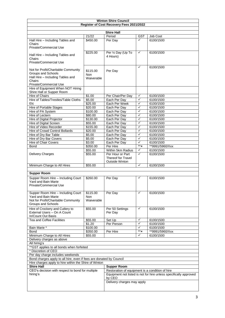|                                                                     |                   | <b>Winton Shire Council</b>                     |              |                                                                   |  |  |
|---------------------------------------------------------------------|-------------------|-------------------------------------------------|--------------|-------------------------------------------------------------------|--|--|
|                                                                     |                   | Register of Cost Recovery Fees 2021/2022        |              |                                                                   |  |  |
|                                                                     |                   |                                                 |              |                                                                   |  |  |
|                                                                     |                   | <b>Shire Hall</b>                               |              |                                                                   |  |  |
|                                                                     | 21/22             | Period                                          | <b>GST</b>   | Job Cost                                                          |  |  |
| Hall Hire - Including Tables and                                    | \$450.00          | Per Day                                         | ✓            | 6100/1500                                                         |  |  |
| Chairs                                                              |                   |                                                 |              |                                                                   |  |  |
| <b>Private/Commercial Use</b>                                       |                   |                                                 |              |                                                                   |  |  |
|                                                                     | \$225.00          | Per 1/2 Day (Up To                              | ✓            | 6100/1500                                                         |  |  |
| Hall Hire - Including Tables and<br>Chairs                          |                   | 4 Hours)                                        |              |                                                                   |  |  |
| <b>Private/Commercial Use</b>                                       |                   |                                                 |              |                                                                   |  |  |
|                                                                     |                   |                                                 |              |                                                                   |  |  |
| Not for Profit/Charitable Community                                 |                   |                                                 | ✓            | 6100/1500                                                         |  |  |
| Groups and Schools                                                  | \$115.00          | Per Day                                         |              |                                                                   |  |  |
| Hall Hire - Including Tables and                                    | Non<br>Waiverable |                                                 |              |                                                                   |  |  |
| Chairs                                                              |                   |                                                 |              |                                                                   |  |  |
| Private/Commercial Use                                              |                   |                                                 |              |                                                                   |  |  |
| Hire of Equipment When NOT Hiring                                   |                   |                                                 |              |                                                                   |  |  |
| Shire Hall or Supper Room                                           |                   |                                                 |              |                                                                   |  |  |
| Hire of Chairs                                                      | \$1.00            | Per Chair/Per Day                               | $\checkmark$ | 6100/1500                                                         |  |  |
| Hire of Tables/Trestles/Table Cloths                                | \$5.00            | Each Per Day                                    | ✓            | 6100/1500                                                         |  |  |
| Etc                                                                 | \$25.00           | Each Per Week                                   | ✓            | 6100/1500                                                         |  |  |
| Hire of Portable Stages                                             | \$20.00           | Each Per Day                                    | ✓            | 6100/1500                                                         |  |  |
| Hire of PA System                                                   | \$100.00          | Each Per Day                                    | ✓            | 6100/1500                                                         |  |  |
| Hire of Lectern                                                     | \$80.00           | Each Per Day                                    | $\checkmark$ | 6100/1500                                                         |  |  |
| Hire of Digital Projector                                           | \$130.00          | Each Per Day                                    | ✓            | 6100/1500                                                         |  |  |
| Hire of Digital Screen                                              | \$55.00           | Each Per Day                                    | $\checkmark$ | 6100/1500                                                         |  |  |
| Hire of Video Recorder                                              | \$155.00          | Each Per Day                                    | ✓            | 6100/1500                                                         |  |  |
| Hire of Crowd Control Bollards                                      | \$20.00           | Each Per Day                                    | ✓            | 6100/1500                                                         |  |  |
| Hire of Dry Bar Table                                               | \$5.00            | Each Per Day                                    | ✓            | 6100/1500                                                         |  |  |
| Hire of Dry Bar Covers                                              | \$5.00            | Each Per Day                                    | ✓            | 6100/1500                                                         |  |  |
| Hire of Chair Covers                                                | \$3.00            | Each Per Day                                    | ✓            | 6100/1500                                                         |  |  |
| <b>Bond</b>                                                         | \$350.00          | Per Hire                                        | $**$ x       | **9991/5960/Xxx                                                   |  |  |
|                                                                     | \$55.00           | Within 5km Radius                               | ✓            | 6100/1500                                                         |  |  |
| Delivery Charges                                                    | \$55.00           | Per Hour or Part                                | ✓            | 6100/1500                                                         |  |  |
|                                                                     |                   | <b>Thereof for Travel</b>                       |              |                                                                   |  |  |
|                                                                     |                   | <b>Outside Winton</b>                           |              |                                                                   |  |  |
| Minimum Charge to All Hires                                         | \$55.00           |                                                 | ✓            | 6100/1500                                                         |  |  |
|                                                                     |                   |                                                 |              |                                                                   |  |  |
| <b>Supper Room</b>                                                  |                   |                                                 |              |                                                                   |  |  |
| Supper Room Hire - Including Court                                  | \$260.00          | Per Day                                         | ✓            | 6100/1500                                                         |  |  |
| Yard and Bain Marie                                                 |                   |                                                 |              |                                                                   |  |  |
| <b>Private/Commercial Use</b>                                       |                   |                                                 |              |                                                                   |  |  |
|                                                                     |                   |                                                 |              |                                                                   |  |  |
| Supper Room Hire - Including Court                                  | \$115.00          | Per Day                                         | ✓            | 6100/1500                                                         |  |  |
| Yard and Bain Marie                                                 | <b>Non</b>        |                                                 |              |                                                                   |  |  |
| Not for Profit/Charitable Community                                 | Waiverable        |                                                 |              |                                                                   |  |  |
| Groups and Schools                                                  |                   |                                                 |              |                                                                   |  |  |
| Hire of Crockery and Cutlery to                                     | \$55.00           | Per 50 Settings                                 | ✓            | 6100/1500                                                         |  |  |
| External Users - On A Count                                         |                   | Per Day                                         |              |                                                                   |  |  |
| In/Count Out Basis                                                  |                   |                                                 |              |                                                                   |  |  |
| <b>Tea and Coffee Facilities</b>                                    | \$55.00           | Set Up                                          | ✓            | 6100/1500                                                         |  |  |
|                                                                     | \$1.20            | Per Person                                      | ✓            | 6100/1500                                                         |  |  |
| Bain Marie *                                                        | \$100.00          |                                                 | ✓            | 6100/1500                                                         |  |  |
| <b>Bond</b>                                                         | \$350.00          | Per Hire                                        | ** x         | **9991/5960/Xxx                                                   |  |  |
| Minimum Charge to All Hires                                         | \$55.00           |                                                 | ✓            | 6100/1500                                                         |  |  |
| Delivery charges as above                                           |                   |                                                 |              |                                                                   |  |  |
| All hiring's                                                        |                   |                                                 |              |                                                                   |  |  |
| ** GST applies to all bonds when forfeited                          |                   |                                                 |              |                                                                   |  |  |
| * Discretion of CEO                                                 |                   |                                                 |              |                                                                   |  |  |
| Per day charge includes weekends                                    |                   |                                                 |              |                                                                   |  |  |
| Bond charges apply to all hire, even if fees are donated by Council |                   |                                                 |              |                                                                   |  |  |
| Hire charges apply to hire within the Shire of Winton               |                   |                                                 |              |                                                                   |  |  |
| <b>Shire Hall</b>                                                   |                   | <b>Supper Room</b>                              |              |                                                                   |  |  |
| CEO's decision with respect to bond for multiple                    |                   | Restoration of equipment is a condition of hire |              |                                                                   |  |  |
| hiring's                                                            |                   |                                                 |              | Equipment not listed is not for hire unless specifically approved |  |  |
|                                                                     |                   | by CEO                                          |              |                                                                   |  |  |
|                                                                     |                   | Delivery charges may apply                      |              |                                                                   |  |  |
|                                                                     |                   |                                                 |              |                                                                   |  |  |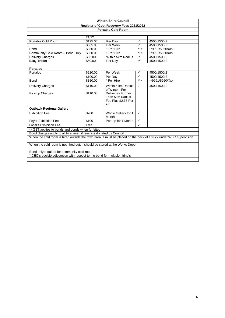|                                                                                                                   |                   | <b>Winton Shire Council</b>                                               |                         |                 |  |  |
|-------------------------------------------------------------------------------------------------------------------|-------------------|---------------------------------------------------------------------------|-------------------------|-----------------|--|--|
|                                                                                                                   |                   | Register of Cost Recovery Fees 2021/2022                                  |                         |                 |  |  |
|                                                                                                                   |                   | <b>Portable Cold Room</b>                                                 |                         |                 |  |  |
|                                                                                                                   |                   |                                                                           |                         |                 |  |  |
|                                                                                                                   | 21/22             |                                                                           |                         |                 |  |  |
| Portable Cold Room                                                                                                | \$125.00          | Per Day                                                                   | ✓                       | 4500/1500/2     |  |  |
|                                                                                                                   | \$565.00          | Per Week                                                                  | $\checkmark$            | 4500/1500/2     |  |  |
| <b>Bond</b>                                                                                                       | \$350.00          | * Per Hire                                                                | $**$ $\times$           | **9991/5960/Xxx |  |  |
| Community Cold Room - Bond Only                                                                                   | \$350.00          | * Per Hire                                                                | $**$                    | **9991/5960/Xxx |  |  |
| <b>Delivery Charges</b>                                                                                           | \$55.00           | Within 5km Radius                                                         | $\checkmark$            | 4500/1500/2     |  |  |
| <b>BBQ Trailer</b>                                                                                                | \$50.00           | Per Day                                                                   | ✓                       | 4500/1500/2     |  |  |
|                                                                                                                   |                   |                                                                           |                         |                 |  |  |
| Portaloo                                                                                                          |                   |                                                                           |                         |                 |  |  |
| Portaloo                                                                                                          | \$220.00          | Per Week                                                                  | ✓                       | 4500/1500/2     |  |  |
|                                                                                                                   | \$100.00          | Per Day                                                                   | $\checkmark$            | 4500/1500/2     |  |  |
| Bond                                                                                                              | \$350.00          | * Per Hire                                                                | $**\mathbf{x}$          | **9991/5960/Xxx |  |  |
| Delivery Charges                                                                                                  | \$110.00          | Within 5 km Radius<br>of Winton, For                                      | ✓                       | 4500/1500/2     |  |  |
| Pick-up Charges                                                                                                   | \$110.00          | <b>Deliveries Further</b><br>Than 5km Radius<br>Fee Plus \$2.35 Per<br>km |                         |                 |  |  |
| <b>Outback Regional Gallery</b>                                                                                   |                   |                                                                           |                         |                 |  |  |
| <b>Exhibition Fee</b>                                                                                             | \$200             | Whole Gallery for 1<br>Month                                              | ✓                       |                 |  |  |
| Foyer Exhibition Fee                                                                                              | $\overline{$}100$ | Pop-up for 1 Month                                                        | ✓                       |                 |  |  |
| Local's Exhibition Fee                                                                                            | Free              |                                                                           | $\overline{\checkmark}$ |                 |  |  |
| ** GST applies to bonds and bonds when forfeited                                                                  |                   |                                                                           |                         |                 |  |  |
| Bond charges apply to all hire, even if fees are donated by Council                                               |                   |                                                                           |                         |                 |  |  |
| When the cold room is hired outside the town area, it must be placed on the back of a truck under WSC supervision |                   |                                                                           |                         |                 |  |  |
| When the cold room is not hired out, it should be stored at the Works Depot                                       |                   |                                                                           |                         |                 |  |  |
| Bond only required for community cold room                                                                        |                   |                                                                           |                         |                 |  |  |
| * CEO's decision/discretion with respect to the bond for multiple hiring's                                        |                   |                                                                           |                         |                 |  |  |
|                                                                                                                   |                   |                                                                           |                         |                 |  |  |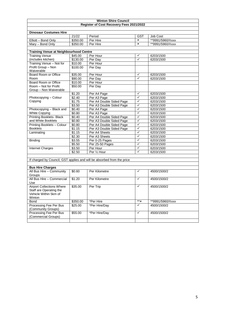|                                               |                    | <b>Winton Shire Council</b>                                            |                |                                 |
|-----------------------------------------------|--------------------|------------------------------------------------------------------------|----------------|---------------------------------|
|                                               |                    | Register of Cost Recovery Fees 2021/2022                               |                |                                 |
| <b>Dinosaur Costumes Hire</b>                 |                    |                                                                        |                |                                 |
|                                               | 21/22              | Period                                                                 | GST            | <b>Job Cost</b>                 |
| Elliott - Bond Only                           | \$350.00           | Per Hire                                                               | $\mathbf{x}$   | **9991/5960/Xxxx                |
| Mary - Bond Only                              | \$350.00           | Per Hire                                                               | $\pmb{\times}$ | **9991/5960/Xxxx                |
|                                               |                    |                                                                        |                |                                 |
| <b>Training Venue at Neighbourhood Centre</b> |                    |                                                                        |                |                                 |
| <b>Training Venue</b>                         | $\frac{1}{1}45.00$ | Per Hour                                                               | $\checkmark$   | 6203/1500                       |
| (includes kitchen)                            | \$130.00           | Per Day                                                                | $\checkmark$   | 6203/1500                       |
| Training Venue - Not for                      | \$10.00            | Per Hour                                                               |                |                                 |
| Profit Group - Non                            | \$100.00           | Per Day                                                                |                |                                 |
| Waiverable                                    |                    |                                                                        |                |                                 |
| Board Room or Office                          | \$35.00            | Per Hour                                                               | $\checkmark$   | 6203/1500                       |
| Room                                          | \$90.00            | Per Day                                                                | $\checkmark$   | 6203/1500                       |
| Board Room or Office                          | \$10.00            | Per Hour                                                               |                |                                 |
| Room - Not for Profit                         | \$50.00            | Per Day                                                                |                |                                 |
| Group - Non Waiverable                        | \$1.20             | Per A4 Page                                                            | $\checkmark$   | 6203/1500                       |
| Photocopying - Colour                         | \$2.40             | Per A3 Page                                                            | $\checkmark$   | 6203/1500                       |
| Copying                                       | $\sqrt{31.75}$     | Per A4 Double Sided Page                                               | $\checkmark$   | 6203/1500                       |
|                                               | \$3.50             | Per A3 Double Sided Page                                               | $\checkmark$   | 6203/1500                       |
| Photocopying - Black and                      | \$0.40             | Per A4 Page                                                            | $\checkmark$   | 6203/1500                       |
| <b>White Copying</b>                          | \$0.80             | Per A3 Page                                                            | $\checkmark$   | 6203/1500                       |
| <b>Printing Booklets- Black</b>               | \$0.40             | Per A4 Double Sided Page                                               | $\checkmark$   | 6203/1500                       |
| and White Booklets                            | \$0.80             | Per A3 Double Sided Page                                               | $\checkmark$   | 6203/1500                       |
| Printing Booklets - Colour                    | \$0.80             | Per A4 Double Sided Page                                               | $\checkmark$   | 6203/1500                       |
| <b>Booklets</b>                               | \$1.15             | Per A3 Double Sided Page                                               | $\checkmark$   | 6203/1500                       |
| Laminating                                    | \$1.15             | Per A4 Sheets                                                          | $\checkmark$   | 6203/1500                       |
|                                               | \$2.30             | Per A3 Sheets                                                          | $\checkmark$   | 6203/1500                       |
| Binding                                       | \$3.55             | Per 0-25 Pages                                                         | $\checkmark$   | 6203/1500                       |
|                                               | \$5.50             | Per 25-50 Pages                                                        | $\checkmark$   | 6203/1500                       |
| Internet Charges                              | \$3.50             | Per Hour                                                               | $\checkmark$   | 6203/1500                       |
|                                               | \$2.50             | Per 1/2 Hour                                                           | $\checkmark$   | 6203/1500                       |
|                                               |                    |                                                                        |                |                                 |
|                                               |                    | If charged by Council, GST applies and will be absorbed from the price |                |                                 |
|                                               |                    |                                                                        |                |                                 |
| <b>Bus Hire Charges</b>                       |                    |                                                                        |                |                                 |
| All Bus Hire - Community                      | \$0.60             | Per Kilometre                                                          | $\checkmark$   | 4500/1500/2                     |
| Groups                                        |                    |                                                                        |                |                                 |
| All Bus Hire - Commercial                     | \$1.20             | Per Kilometre                                                          | $\checkmark$   | 4500/1500/2                     |
| Use                                           |                    |                                                                        |                |                                 |
| <b>Airport Collections Where</b>              | \$35.00            | Per Trip                                                               | $\checkmark$   | 4500/1500/2                     |
| Staff are Operating the                       |                    |                                                                        |                |                                 |
| Vehicle Within 5km of                         |                    |                                                                        |                |                                 |
| Winton                                        | \$350.00           | *Per Hire                                                              | $***$ x        |                                 |
| Bond<br>Processing Fee Per Bus                |                    | *Per Hire/Day                                                          | $\checkmark$   | **9991/5960/Xxxx<br>4500/1500/2 |
| (Community Groups)                            | \$25.00            |                                                                        |                |                                 |
| Processing Fee Per Bus                        | \$55.00            | *Per Hire/Day                                                          | $\checkmark$   | 4500/1500/2                     |
| (Commercial Groups)                           |                    |                                                                        |                |                                 |
|                                               |                    |                                                                        |                |                                 |
|                                               |                    |                                                                        |                |                                 |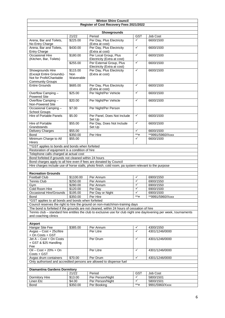|                                                                                                 |                      | <b>Winton Shire Council</b>                                                                          |              |                                                                                                                     |
|-------------------------------------------------------------------------------------------------|----------------------|------------------------------------------------------------------------------------------------------|--------------|---------------------------------------------------------------------------------------------------------------------|
|                                                                                                 |                      | Register of Cost Recovery Fees 2021/2022                                                             |              |                                                                                                                     |
|                                                                                                 |                      |                                                                                                      |              |                                                                                                                     |
|                                                                                                 | 21/22                | Showgrounds<br>Period                                                                                | <b>GST</b>   | Job Cost                                                                                                            |
| Arena, Bar and Toilets,                                                                         | \$225.00             | Per Day, Plus Electricity                                                                            | ✓            | 6600/1500                                                                                                           |
| No Entry Charge                                                                                 |                      | (Extra at cost)                                                                                      |              |                                                                                                                     |
| Arena, Bar and Toilets,                                                                         | \$430.00             | Per Day, Plus Electricity                                                                            | $\checkmark$ | 6600/1500                                                                                                           |
| <b>Entry Charge</b>                                                                             |                      | (Extra at cost)                                                                                      |              |                                                                                                                     |
| Occasional Hire                                                                                 | \$180.00             | Per Local Group, Plus                                                                                | ✓            | 6600/1500                                                                                                           |
| (Kitchen, Bar, Toilets)                                                                         |                      | Electricity (Extra at cost)                                                                          |              |                                                                                                                     |
|                                                                                                 | \$255.00             | Per External Group, Plus                                                                             | ✓            | 6600/1500                                                                                                           |
| Showgrounds Hire                                                                                | \$115.00             | Electricity (Extra at cost)<br>Per Day, Plus Electricity                                             | $\checkmark$ | 6600/1500                                                                                                           |
| (Except Entire Grounds)-                                                                        | <b>Non</b>           | (Extra at cost)                                                                                      |              |                                                                                                                     |
| Not for Profit/Charitable                                                                       | Waiverable           |                                                                                                      |              |                                                                                                                     |
| <b>Community Groups</b>                                                                         |                      |                                                                                                      |              |                                                                                                                     |
| <b>Entire Grounds</b>                                                                           | \$685.00             | Per Day, Plus Electricity                                                                            | $\checkmark$ | 6600/1500                                                                                                           |
|                                                                                                 | \$25.00              | (Extra at cost)<br>Per Night/Per Vehicle                                                             | ✓            | 6600/1500                                                                                                           |
| Overflow Camping -<br><b>Powered Site</b>                                                       |                      |                                                                                                      |              |                                                                                                                     |
| Overflow Camping -                                                                              | \$20.00              | Per Night/Per Vehicle                                                                                | ✓            | 6600/1500                                                                                                           |
| Non-Powered Site                                                                                |                      |                                                                                                      |              |                                                                                                                     |
| Occasional Camping -                                                                            | \$7.00               | Per Night/Per Person                                                                                 |              |                                                                                                                     |
| School Groups                                                                                   |                      |                                                                                                      |              |                                                                                                                     |
| <b>Hire of Portable Panels</b>                                                                  | \$5.00               | Per Panel, Does Not Include                                                                          | $\checkmark$ | 6600/1500                                                                                                           |
| Hire of Portable                                                                                |                      | Set Up<br>Per Day, Does Not Include                                                                  | ✓            | 6600/1500                                                                                                           |
| Grandstands                                                                                     | \$55.00              | Set Up                                                                                               |              |                                                                                                                     |
| <b>Delivery Charges</b>                                                                         | \$55.00              |                                                                                                      | $\checkmark$ | 6600/1500                                                                                                           |
| <b>Bond</b>                                                                                     | \$350.00             | Per Hire                                                                                             | $**$ $x$     | **9991/5960/Xxxx                                                                                                    |
| Minimum Charge to All                                                                           | \$55.00              |                                                                                                      | ✓            | 6600/1500                                                                                                           |
| <b>Hirers</b>                                                                                   |                      |                                                                                                      |              |                                                                                                                     |
| ** GST applies to bonds and bonds when forfeited                                                |                      |                                                                                                      |              |                                                                                                                     |
| Restoration of equipment is a condition of hire                                                 |                      |                                                                                                      |              |                                                                                                                     |
| Telephone calls charged at actual cost<br>Bond forfeited if grounds not cleaned within 24 hours |                      |                                                                                                      |              |                                                                                                                     |
| Bond charges apply to all hire even if fees are donated by Council                              |                      |                                                                                                      |              |                                                                                                                     |
|                                                                                                 |                      | Hire charges include use of horse stalls, photo finish, cold room, pa system relevant to the purpose |              |                                                                                                                     |
|                                                                                                 |                      |                                                                                                      |              |                                                                                                                     |
| <b>Recreation Grounds</b>                                                                       |                      |                                                                                                      |              |                                                                                                                     |
| <b>Football Club</b>                                                                            | \$1100.00            | Per Annum                                                                                            | ✓            | 6900/1550                                                                                                           |
| Tennis Club                                                                                     | \$250.00             | Per Annum                                                                                            | ✓            | 6900/1550                                                                                                           |
| Gym                                                                                             | \$280.00             | Per Annum                                                                                            | ✓            | 6900/1550                                                                                                           |
| Cold Room Hire                                                                                  | \$120.00             | Per Day                                                                                              | ✓<br>✓       | 6900/1500                                                                                                           |
| Occasional Hire/Grounds<br><b>Bond</b>                                                          | \$195.00<br>\$350.00 | Per Day or Night<br>Per Hire                                                                         | $**$ x       | 6900/1500<br>**9991/5960/Xxxx                                                                                       |
| *GST applies to all bonds and bonds when forfeited                                              |                      |                                                                                                      |              |                                                                                                                     |
|                                                                                                 |                      | Council reserves the right to hire the ground on non-match/non-training days                         |              |                                                                                                                     |
|                                                                                                 |                      | The bond is forfeited if the grounds are not cleaned, within 24 hours of cessation of hire           |              |                                                                                                                     |
|                                                                                                 |                      |                                                                                                      |              | Tennis club – standard hire entitles the club to exclusive use for club night one day/evening per week, tournaments |
| and coaching clinics                                                                            |                      |                                                                                                      |              |                                                                                                                     |
|                                                                                                 |                      |                                                                                                      |              |                                                                                                                     |
| Airport<br>Hangar Site Fee                                                                      |                      | Per Annum                                                                                            | ✓            |                                                                                                                     |
| Avgas - Cost + 25c/litre                                                                        | \$385.00             | Per Litre                                                                                            | $\checkmark$ | 4300/1550<br>4301/1246/0000                                                                                         |
| + On Costs + GST                                                                                |                      |                                                                                                      |              |                                                                                                                     |
| $\overline{\text{Jet A} - \text{Cost}}$ + On Costs                                              |                      | Per Drum                                                                                             | ✓            | 4301/1246/0000                                                                                                      |
| + GST & \$25 Handling                                                                           |                      |                                                                                                      |              |                                                                                                                     |
| Fee                                                                                             |                      |                                                                                                      |              |                                                                                                                     |
| $\overline{Oil}$ - Cost + 20% + On                                                              |                      | Per Litre                                                                                            | ✓            | 4301/1246/0000                                                                                                      |
| Costs + GST<br>Avgas drum containers                                                            | \$70.00              | Per Drum                                                                                             | $\checkmark$ | 4301/1246/0000                                                                                                      |
|                                                                                                 |                      | Only authorised and accredited persons are allowed to dispense fuel                                  |              |                                                                                                                     |
|                                                                                                 |                      |                                                                                                      |              |                                                                                                                     |
| <b>Diamantina Gardens Dormitory</b>                                                             |                      |                                                                                                      |              |                                                                                                                     |
|                                                                                                 | 21/22                | Period                                                                                               | GST          | Job Cost                                                                                                            |
| Dormitory Hire                                                                                  | \$13.00              | Per Person/Night                                                                                     | ✓            | 5800/1501                                                                                                           |
| Linen Etc                                                                                       | \$4.00               | Per Person/Night                                                                                     | $\checkmark$ | 5800/1501                                                                                                           |
| Bond                                                                                            | \$350.00             | Per Booking                                                                                          | ** x         | 9991/5960/Xxxx                                                                                                      |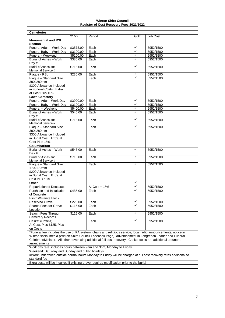|                                                                                                                                                                      |           | <b>Winton Shire Council</b>                                                              |              |           |  |  |
|----------------------------------------------------------------------------------------------------------------------------------------------------------------------|-----------|------------------------------------------------------------------------------------------|--------------|-----------|--|--|
|                                                                                                                                                                      |           | Register of Cost Recovery Fees 2021/2022                                                 |              |           |  |  |
|                                                                                                                                                                      |           |                                                                                          |              |           |  |  |
| <b>Cemeteries</b>                                                                                                                                                    | 21/22     | Period                                                                                   | GST          | Job Cost  |  |  |
| <b>Monumental and RSL</b>                                                                                                                                            |           |                                                                                          |              |           |  |  |
| <b>Section</b>                                                                                                                                                       |           |                                                                                          |              |           |  |  |
| Funeral Adult - Work Day                                                                                                                                             | \$3575.00 | Each                                                                                     | $\checkmark$ | 5952/1500 |  |  |
| Funeral Baby - Work Day                                                                                                                                              | \$3100.00 | Each                                                                                     | $\checkmark$ | 5952/1500 |  |  |
| Funeral - Weekend                                                                                                                                                    | \$5100.00 | Each                                                                                     | $\checkmark$ | 5952/1500 |  |  |
| Burial of Ashes - Work                                                                                                                                               | \$385.00  | Each                                                                                     | ✓            | 5952/1500 |  |  |
| Day #                                                                                                                                                                |           |                                                                                          |              |           |  |  |
| Burial of Ashes and                                                                                                                                                  | \$715.00  | Each                                                                                     | $\checkmark$ | 5952/1500 |  |  |
| Memorial Service #                                                                                                                                                   |           |                                                                                          |              |           |  |  |
| Plaque - RSL                                                                                                                                                         | \$230.00  | Each                                                                                     | ✓<br>✓       | 5952/1500 |  |  |
| Plaque - Standard Size                                                                                                                                               |           | Each                                                                                     |              | 5952/1500 |  |  |
| 380x280mm<br>\$300 Allowance Included                                                                                                                                |           |                                                                                          |              |           |  |  |
| in Funeral Costs. Extra                                                                                                                                              |           |                                                                                          |              |           |  |  |
| at Cost Plus 15%.                                                                                                                                                    |           |                                                                                          |              |           |  |  |
| <b>Lawn Cemetery</b>                                                                                                                                                 |           |                                                                                          |              |           |  |  |
| Funeral Adult -Work Day                                                                                                                                              | \$3900.00 | Each                                                                                     | $\checkmark$ | 5952/1500 |  |  |
| Funeral Baby - Work Day                                                                                                                                              | \$3100.00 | Each                                                                                     | $\checkmark$ | 5952/1500 |  |  |
| Funeral - Weekend                                                                                                                                                    | \$5400.00 | Each                                                                                     | $\checkmark$ | 5952/1500 |  |  |
| Burial of Ashes - Work                                                                                                                                               | \$545.00  | Each                                                                                     | ✓            | 5952/1500 |  |  |
| Day #                                                                                                                                                                |           |                                                                                          |              |           |  |  |
| Burial of Ashes and                                                                                                                                                  | \$715.00  | Each                                                                                     | $\checkmark$ | 5952/1500 |  |  |
| Memorial Service #                                                                                                                                                   |           |                                                                                          |              |           |  |  |
| Plaque - Standard Size                                                                                                                                               |           | Each                                                                                     | $\checkmark$ | 5952/1500 |  |  |
| 380x280mm                                                                                                                                                            |           |                                                                                          |              |           |  |  |
| \$300 Allowance Included                                                                                                                                             |           |                                                                                          |              |           |  |  |
| in Burial Cost. Extra at                                                                                                                                             |           |                                                                                          |              |           |  |  |
| Cost Plus 15%.                                                                                                                                                       |           |                                                                                          |              |           |  |  |
| Columbarium                                                                                                                                                          |           |                                                                                          |              |           |  |  |
| Burial of Ashes - Work                                                                                                                                               | \$545.00  | Each                                                                                     | $\checkmark$ | 5952/1500 |  |  |
| Day #                                                                                                                                                                |           |                                                                                          |              |           |  |  |
| Burial of Ashes and                                                                                                                                                  | \$715.00  | Each                                                                                     | $\checkmark$ | 5952/1500 |  |  |
| Memorial Service #                                                                                                                                                   |           |                                                                                          | $\checkmark$ |           |  |  |
| Plaque - Standard Size<br>170x170mm                                                                                                                                  |           | Each                                                                                     |              | 5952/1500 |  |  |
| \$200 Allowance Included                                                                                                                                             |           |                                                                                          |              |           |  |  |
| in Burial Cost. Extra at                                                                                                                                             |           |                                                                                          |              |           |  |  |
| Cost Plus 15%.                                                                                                                                                       |           |                                                                                          |              |           |  |  |
| Other                                                                                                                                                                |           |                                                                                          | ✓            |           |  |  |
| Repatriation of Deceased                                                                                                                                             |           | At Cost + 15%                                                                            | ✓            | 5952/1500 |  |  |
| Purchase and Installation                                                                                                                                            | \$485.00  | Each                                                                                     | $\checkmark$ | 5952/1500 |  |  |
| of Concrete                                                                                                                                                          |           |                                                                                          |              |           |  |  |
| Plinths/Granite Block                                                                                                                                                |           |                                                                                          |              |           |  |  |
| <b>Reserved Grave</b>                                                                                                                                                | \$225.00  | Each                                                                                     | $\checkmark$ | 5952/1500 |  |  |
| Search Fees for Grave                                                                                                                                                | \$115.00  | Each                                                                                     | $\checkmark$ | 5952/1500 |  |  |
| Location                                                                                                                                                             |           |                                                                                          |              |           |  |  |
| Search Fees Through                                                                                                                                                  | \$115.00  | Each                                                                                     | $\checkmark$ | 5952/1500 |  |  |
| <b>Cemetery Records</b>                                                                                                                                              |           |                                                                                          |              |           |  |  |
| Casket (Coffins)                                                                                                                                                     |           | Each                                                                                     | $\checkmark$ | 5952/1500 |  |  |
| At Cost, Plus \$125, Plus                                                                                                                                            |           |                                                                                          |              |           |  |  |
| on Costs                                                                                                                                                             |           |                                                                                          |              |           |  |  |
| *Funeral fee includes the use of PA system, chairs and religious service, local radio announcements, notice in                                                       |           |                                                                                          |              |           |  |  |
| Winton social media (Winton Shire Council Facebook Page), advertisement in Longreach Leader and Funeral                                                              |           |                                                                                          |              |           |  |  |
| Celebrant/Minister. All other advertising additional full cost recovery. Casket costs are additional to funeral                                                      |           |                                                                                          |              |           |  |  |
| arrangements                                                                                                                                                         |           |                                                                                          |              |           |  |  |
| Work day rate: includes hours between 9am and 3pm, Monday to Friday                                                                                                  |           |                                                                                          |              |           |  |  |
| Weekend: Saturday and Sunday and public holidays<br>#Work undertaken outside normal hours Monday to Friday will be charged at full cost recovery rates additional to |           |                                                                                          |              |           |  |  |
|                                                                                                                                                                      |           |                                                                                          |              |           |  |  |
| standard fee                                                                                                                                                         |           |                                                                                          |              |           |  |  |
|                                                                                                                                                                      |           | Extra costs will be incurred if existing grave requires modification prior to the burial |              |           |  |  |
|                                                                                                                                                                      |           |                                                                                          |              |           |  |  |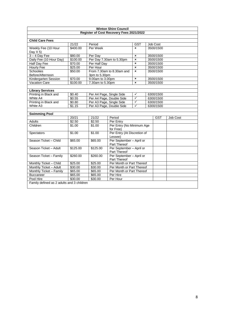|                                           |          |                  | <b>Winton Shire Council</b>              |                           |           |            |          |
|-------------------------------------------|----------|------------------|------------------------------------------|---------------------------|-----------|------------|----------|
|                                           |          |                  | Register of Cost Recovery Fees 2021/2022 |                           |           |            |          |
|                                           |          |                  |                                          |                           |           |            |          |
| <b>Child Care Fees</b>                    |          |                  |                                          |                           |           |            |          |
|                                           | 21/22    | Period           |                                          | <b>GST</b>                |           | Job Cost   |          |
| Weekly Fee (10 Hour                       | \$400.00 | Per Week         |                                          | $\mathbf{x}$              |           | 3500/1500  |          |
| Day $X$ 5)                                |          |                  |                                          |                           |           |            |          |
| $3 - 4$ Day Fee                           | \$80.00  | Per Day          |                                          | $\mathbf{x}$              |           | 3500/1500  |          |
| Daily Fee (10 Hour Day)                   | \$100.00 |                  | Per Day 7.30am to 5.30pm                 | $\mathbf{x}$              |           | 3500/1500  |          |
| Half Day Fee                              | \$70.00  | Per Half Day     |                                          | $\pmb{\times}$            |           | 3500/1500  |          |
| <b>Hourly Fee</b>                         | \$25.00  | Per Hour         |                                          | $\boldsymbol{\mathsf{x}}$ |           | 3500/1500  |          |
| <b>Schoolies</b>                          | \$50.00  |                  | From 7.30am to 8.30am and                | $\mathbf{x}$              |           | 3500/1500  |          |
| Before/Afternoon                          |          | 3pm to 5.30pm    |                                          |                           |           |            |          |
| Kindergarten Session                      | \$70.00  | 9.00am to 3.00pm |                                          | $\pmb{\times}$            |           | 3500/1500  |          |
| <b>Vacation Care</b>                      | \$100.00 | 7.30am to 5.30pm |                                          | $\pmb{\times}$            |           | 3500/1500  |          |
|                                           |          |                  |                                          |                           |           |            |          |
| <b>Library Services</b>                   |          |                  |                                          |                           |           |            |          |
| Printing in Black and                     | \$0.40   |                  | Per A4 Page, Single Side                 | $\checkmark$              |           | 6300/1500  |          |
| White A4                                  | \$0.55   |                  | Per A4 Page, Double Side                 | $\checkmark$              |           | 6300/1500  |          |
| Printing in Black and                     | \$0.80   |                  | Per A3 Page, Single Side                 | $\checkmark$              |           | 6300/1500  |          |
| White A3                                  | \$1.15   |                  | Per A3 Page, Double Side                 | $\checkmark$              | 6300/1500 |            |          |
|                                           |          |                  |                                          |                           |           |            |          |
| <b>Swimming Pool</b>                      |          |                  |                                          |                           |           |            |          |
|                                           | 20/21    | 21/22            | Period                                   |                           |           | <b>GST</b> | Job Cost |
| Adults                                    | \$2.50   | \$2.50           | Per Entry                                |                           |           |            |          |
| Children                                  | \$1.00   | \$1.00           | Per Entry (No Minimum Age                |                           |           |            |          |
|                                           |          |                  | for Free)                                |                           |           |            |          |
| Spectators                                | \$1.00   | \$1.00           | Per Entry (At Discretion of              |                           |           |            |          |
|                                           |          |                  | Lessee)                                  |                           |           |            |          |
| Season Ticket - Child                     | \$65.00  | \$65.00          | Per September - April or                 |                           |           |            |          |
|                                           |          |                  | Part Thereof                             |                           |           |            |          |
| Season Ticket - Adult                     | \$125.00 | \$125.00         | Per September - April or                 |                           |           |            |          |
|                                           |          |                  | <b>Part Thereof</b>                      |                           |           |            |          |
| Season Ticket - Family                    | \$260.00 | \$260.00         | Per September - April or                 |                           |           |            |          |
|                                           |          |                  | Part Thereof                             |                           |           |            |          |
| Monthly Ticket - Child                    | \$25.00  | \$25.00          | Per Month or Part Thereof                |                           |           |            |          |
| Monthly Ticket - Adult                    | \$30.00  | \$30.00          | Per Month or Part Thereof                |                           |           |            |          |
| Monthly Ticket - Family                   | \$65.00  | \$65.00          | Per Month or Part Thereof                |                           |           |            |          |
| <b>Buccaneer</b>                          | \$65.00  | \$65.00          | Per Hire                                 |                           |           |            |          |
| Pool Hire                                 | \$30.00  | \$30.00          | Per Hour                                 |                           |           |            |          |
| Family defined as 2 adults and 3 children |          |                  |                                          |                           |           |            |          |
|                                           |          |                  |                                          |                           |           |            |          |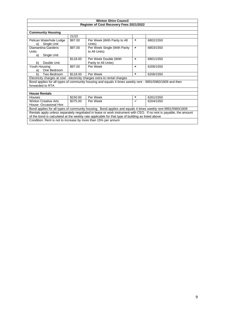|                                                                                                                                                                                                                         | <b>Winton Shire Council</b> |                                                                                                          |              |           |  |  |  |  |
|-------------------------------------------------------------------------------------------------------------------------------------------------------------------------------------------------------------------------|-----------------------------|----------------------------------------------------------------------------------------------------------|--------------|-----------|--|--|--|--|
|                                                                                                                                                                                                                         |                             | Register of Cost Recovery Fees 2021/2022                                                                 |              |           |  |  |  |  |
|                                                                                                                                                                                                                         |                             |                                                                                                          |              |           |  |  |  |  |
| <b>Community Housing</b>                                                                                                                                                                                                |                             |                                                                                                          |              |           |  |  |  |  |
|                                                                                                                                                                                                                         | 21/22                       |                                                                                                          |              |           |  |  |  |  |
| Pelican Waterhole Lodge<br>Single Unit<br>a)                                                                                                                                                                            | \$97.00                     | Per Week (With Parity to All<br>Units)                                                                   | ×            | 6802/1550 |  |  |  |  |
| Diamantina Gardens<br>Units<br>Single Unit<br>a)                                                                                                                                                                        | \$97.00                     | Per Week Single (With Parity<br>to All Units)                                                            | $\mathbf{x}$ | 6803/1550 |  |  |  |  |
| Double Unit<br>b)                                                                                                                                                                                                       | \$118.00                    | Per Week Double (With<br>Parity to All Units)                                                            | $\mathbf x$  | 6801/1550 |  |  |  |  |
| Youth Housing<br>One Bedroom<br>a)                                                                                                                                                                                      | \$97.00                     | Per Week                                                                                                 | ×            | 6206/1550 |  |  |  |  |
| b)<br>Two Bedroom                                                                                                                                                                                                       | \$118.00                    | Per Week                                                                                                 | ×            | 6206/1550 |  |  |  |  |
|                                                                                                                                                                                                                         |                             | Electricity charges at cost - electricity charges extra to rental charges                                |              |           |  |  |  |  |
| forwarded to RTA                                                                                                                                                                                                        |                             | Bond applies for all types of community housing and equals 4 times weekly rent - 9991/5960/1809 and then |              |           |  |  |  |  |
| <b>House Rentals</b>                                                                                                                                                                                                    |                             |                                                                                                          |              |           |  |  |  |  |
| Houses                                                                                                                                                                                                                  | \$150.00                    | Per Week                                                                                                 | ×            | 6201/1550 |  |  |  |  |
| <b>Winton Creative Arts</b><br>House -Occasional Hire                                                                                                                                                                   | \$375.00                    | Per Week                                                                                                 | ✓            | 6204/1550 |  |  |  |  |
| Bond applies for all types of community housing. Bond applies and equals 4 times weekly rent 9991/5960/1809                                                                                                             |                             |                                                                                                          |              |           |  |  |  |  |
| Rentals apply unless separately negotiated in lease or work instrument with CEO. If no rent is payable, the amount<br>of the bond is calculated at the weekly rate applicable for that type of building as listed above |                             |                                                                                                          |              |           |  |  |  |  |
| Condition: Rent is not to increase by more than 15% per annum                                                                                                                                                           |                             |                                                                                                          |              |           |  |  |  |  |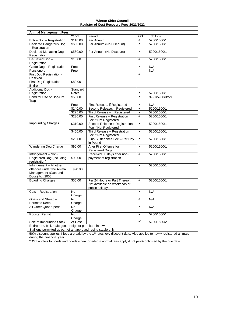| <b>Winton Shire Council</b>                                                                     |                   |                                                                                                                                 |                |                |  |  |  |
|-------------------------------------------------------------------------------------------------|-------------------|---------------------------------------------------------------------------------------------------------------------------------|----------------|----------------|--|--|--|
|                                                                                                 |                   | Register of Cost Recovery Fees 2021/2022                                                                                        |                |                |  |  |  |
|                                                                                                 |                   |                                                                                                                                 |                |                |  |  |  |
| <b>Animal Management Fees</b>                                                                   |                   |                                                                                                                                 |                |                |  |  |  |
|                                                                                                 | 21/22             | Period                                                                                                                          | <b>GST</b>     | Job Cost       |  |  |  |
| Entire Dog - Registration                                                                       | \$110.00          | Per Annum                                                                                                                       | ×              | 5200/1500/1    |  |  |  |
| Declared Dangerous Dog<br>- Registration                                                        | \$660.00          | Per Annum (No Discount)                                                                                                         | ×              | 5200/1500/1    |  |  |  |
| Declared Menacing Dog -<br>Registration                                                         | \$560.00          | Per Annum (No Discount)                                                                                                         | ×              | 5200/1500/1    |  |  |  |
| De-Sexed Dog-<br>Registration                                                                   | \$18.00           |                                                                                                                                 | ×              | 5200/1500/1    |  |  |  |
| Guide Dog - Registration                                                                        | Free              |                                                                                                                                 | ×              | N/A            |  |  |  |
| Pensioners<br>First Dog Registration -<br>Desexed                                               | Free              |                                                                                                                                 | ×              | N/A            |  |  |  |
| First Dog Registration -<br>Entire                                                              | \$80.00           |                                                                                                                                 |                |                |  |  |  |
| Additional Dog -<br>Registration                                                                | Standard<br>Rates |                                                                                                                                 | ×              | 5200/1500/1    |  |  |  |
| Bond for Use of Dog/Cat<br>Trap                                                                 | \$50.00           |                                                                                                                                 | ×              | 9991/5960/Xxxx |  |  |  |
|                                                                                                 | Free              | First Release, if Registered                                                                                                    | ×              | N/A            |  |  |  |
|                                                                                                 | \$140.00          | Second Release, if Registered                                                                                                   | $\pmb{\times}$ | 5200/1500/1    |  |  |  |
|                                                                                                 | \$225.00          | Third Release - if Registered                                                                                                   | ×              | 5200/1500/1    |  |  |  |
|                                                                                                 | \$230.00          | First Release + Registration<br>Fee if Not Registered                                                                           | ×              | 5200/1500/1    |  |  |  |
| Impounding Charges                                                                              | \$310.00          | Second Release + Registration<br>Fee if Not Registered                                                                          | ×              | 5200/1500/1    |  |  |  |
|                                                                                                 | \$460.00          | Third Release + Registration<br>Fee if Not Registered                                                                           | ×              | 5200/1500/1    |  |  |  |
|                                                                                                 | \$20.00           | Plus Sustenance Fee - Per Day<br>in Pound                                                                                       | ×              | 5200/1500/1    |  |  |  |
| <b>Wandering Dog Charge</b>                                                                     | \$90.00           | After First Offence for<br><b>Registered Dogs</b>                                                                               | ×              | 5200/1500/1    |  |  |  |
| Infringement - Non-<br>Registered Dog (Including<br>registration)                               | \$90.00           | Received 30 days after non-<br>payment of registration                                                                          | ×              | 5200/1500/1    |  |  |  |
| Infringement - All other<br>offences under the Animal<br>Management (Cats and<br>Dogs) Act 2008 | \$90.00           |                                                                                                                                 | ×              | 5200/1500/1    |  |  |  |
| <b>Boarding Charges</b>                                                                         | \$50.00           | Per 24 Hours or Part Thereof.<br>Not available on weekends or<br>public holidays.                                               | ×              | 5200/1500/1    |  |  |  |
| Cats - Registration                                                                             | No<br>Charge      |                                                                                                                                 | ×              | N/A            |  |  |  |
| Goats and Sheep -                                                                               | No                |                                                                                                                                 | ×              | N/A            |  |  |  |
| Permit to Keep                                                                                  | Charge            |                                                                                                                                 |                |                |  |  |  |
| All Other Quadrupeds                                                                            | No<br>Charge      |                                                                                                                                 | ×              | N/A            |  |  |  |
| Rooster Permit                                                                                  | No<br>Charge      |                                                                                                                                 | ×              | 5200/1500/1    |  |  |  |
| Sale of Impounded Stock<br>At Cost<br>✓<br>5200/1500/2                                          |                   |                                                                                                                                 |                |                |  |  |  |
| Entire ram, bull, male goat or pig not permitted in town                                        |                   |                                                                                                                                 |                |                |  |  |  |
| Stallions permitted as part of an approved racing stable only                                   |                   |                                                                                                                                 |                |                |  |  |  |
| during that financial year                                                                      |                   | 50% discount applies if fees are paid by the 1 <sup>st</sup> rates levy discount date. Also applies to newly registered animals |                |                |  |  |  |
|                                                                                                 |                   | *GST applies to bonds and bonds when forfeited + normal fees apply if not paid/confirmed by the due date                        |                |                |  |  |  |
|                                                                                                 |                   |                                                                                                                                 |                |                |  |  |  |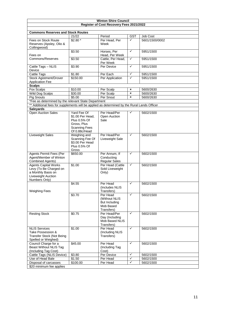| Register of Cost Recovery Fees 2021/2022<br><b>Commons Reserves and Stock Routes</b><br>Period<br>21/22<br><b>GST</b><br>Job Cost<br>$\checkmark$<br>$$2.80*$<br>Per Head, Per<br>5601/1500/0002<br>Fees on Stock Route<br>Reserves (Apsley, Olio &<br>Week<br>Collingwood)<br>$\checkmark$<br>Horses, Per<br>\$3.50<br>5951/1500<br>Fees on<br>Head, Per Week<br>Cattle, Per Head,<br>Commons/Reserves<br>\$3.50<br>✓<br>5951/1500<br>Per Week<br>✓<br>\$3.90<br>Per Device<br>5951/1500<br>Cattle Tags - NLIS<br>Device<br><b>Cattle Tags</b><br>$\checkmark$<br>\$1.80<br>5951/1500<br>Per Each<br><b>Stock Agistment/Drover</b><br>Per Application<br>\$150.00<br>$\checkmark$<br>5951/1500<br><b>Application Fee</b><br><b>Scalps</b><br>5600/2630<br>Fox Scalps<br>\$10.00<br>Per Scalp<br>×<br>\$30.00<br>Wild Dog Scalps<br>Per Scalp<br>$\pmb{\times}$<br>5600/2630<br>\$5.00<br>Per Snout<br><b>Pig Snouts</b><br>$\pmb{\times}$<br>5600/2630<br>*Fee as determined by the relevant State Department<br>** Additional fees for supplements will be applied as determined by the Rural Lands Officer<br><b>Saleyards</b><br><b>Open Auction Sales</b><br>Yard Fee Of<br>Per Head/Per<br>✓<br>5602/1500<br>\$1.00 Per Head,<br>Open Auction<br>Plus 0.5% Of<br>Sale<br>Gross, Plus<br><b>Scanning Fees</b><br>Of 0.88c/Head<br>Weighing and<br>Per Head/Per<br>$\checkmark$<br>Liveweight Sales<br>5602/1500<br>Scanning Fee Of<br>Liveweight Sale<br>\$3.00 Per Head<br>Plus 0.5% Of<br>Gross<br><b>Agents Permit Fees (Per</b><br>\$650.00<br>Per Annum, If<br>$\checkmark$<br>5602/1500<br>Agent/Member of Winton<br>Conducting<br><b>Regular Sales</b><br><b>Combined Agents)</b><br>$\checkmark$<br>\$1.00<br>Per Head (Cattle<br>5602/1500<br><b>Agents Capital Works</b><br>Sold Liveweight<br>Levy (To Be Charged on<br>a Monthly Basis on<br>Only)<br>Liveweight Auction<br>Numbers Only)<br>✓<br>\$4.55<br>5602/1500<br>Per Head<br>(Includes NLIS<br><b>Weighing Fees</b><br>Transfers)<br>✓<br>\$3.70<br>Per Head<br>5602/1500<br>(Without NLIS<br>But Including<br>Mob Based<br>Transfers)<br>$\checkmark$<br><b>Resting Stock</b><br>\$0.75<br>Per Head/Per<br>5602/1500<br>Day (Including<br>Mob Based NLIS<br>Transfers)<br>✓<br>\$1.00<br>Per Head<br><b>NLIS Services</b><br>5602/1500<br>(Including NLIS<br>Take Possession &<br>Transfer Stock (Not Being<br>Transfers)<br>Spelled or Weighed)<br>$\checkmark$<br>Council Charge for a<br>\$45.00<br>Per Head<br>5602/1500<br><b>Beast Without NLIS Tag</b><br>(Including Tag<br>(Including Tag Cost)<br>Cost)<br>✓<br>Cattle Tags (NLIS Device)<br>\$3.80<br>Per Device<br>5602/1500<br>Use of Head Bale<br>$\checkmark$<br>\$1.50<br>5602/1500<br>Per Head<br>✓<br>Disposal of carcasses<br>Per Head<br>\$100.00<br>5602/1500<br>\$20 minimum fee applies | <b>Winton Shire Council</b> |  |  |  |  |  |  |  |  |
|-----------------------------------------------------------------------------------------------------------------------------------------------------------------------------------------------------------------------------------------------------------------------------------------------------------------------------------------------------------------------------------------------------------------------------------------------------------------------------------------------------------------------------------------------------------------------------------------------------------------------------------------------------------------------------------------------------------------------------------------------------------------------------------------------------------------------------------------------------------------------------------------------------------------------------------------------------------------------------------------------------------------------------------------------------------------------------------------------------------------------------------------------------------------------------------------------------------------------------------------------------------------------------------------------------------------------------------------------------------------------------------------------------------------------------------------------------------------------------------------------------------------------------------------------------------------------------------------------------------------------------------------------------------------------------------------------------------------------------------------------------------------------------------------------------------------------------------------------------------------------------------------------------------------------------------------------------------------------------------------------------------------------------------------------------------------------------------------------------------------------------------------------------------------------------------------------------------------------------------------------------------------------------------------------------------------------------------------------------------------------------------------------------------------------------------------------------------------------------------------------------------------------------------------------------------------------------------------------------------------------------------------------------------------------------------------------------------------------------------------------------------------------------------------------------------------------------------------|-----------------------------|--|--|--|--|--|--|--|--|
|                                                                                                                                                                                                                                                                                                                                                                                                                                                                                                                                                                                                                                                                                                                                                                                                                                                                                                                                                                                                                                                                                                                                                                                                                                                                                                                                                                                                                                                                                                                                                                                                                                                                                                                                                                                                                                                                                                                                                                                                                                                                                                                                                                                                                                                                                                                                                                                                                                                                                                                                                                                                                                                                                                                                                                                                                                         |                             |  |  |  |  |  |  |  |  |
|                                                                                                                                                                                                                                                                                                                                                                                                                                                                                                                                                                                                                                                                                                                                                                                                                                                                                                                                                                                                                                                                                                                                                                                                                                                                                                                                                                                                                                                                                                                                                                                                                                                                                                                                                                                                                                                                                                                                                                                                                                                                                                                                                                                                                                                                                                                                                                                                                                                                                                                                                                                                                                                                                                                                                                                                                                         |                             |  |  |  |  |  |  |  |  |
|                                                                                                                                                                                                                                                                                                                                                                                                                                                                                                                                                                                                                                                                                                                                                                                                                                                                                                                                                                                                                                                                                                                                                                                                                                                                                                                                                                                                                                                                                                                                                                                                                                                                                                                                                                                                                                                                                                                                                                                                                                                                                                                                                                                                                                                                                                                                                                                                                                                                                                                                                                                                                                                                                                                                                                                                                                         |                             |  |  |  |  |  |  |  |  |
|                                                                                                                                                                                                                                                                                                                                                                                                                                                                                                                                                                                                                                                                                                                                                                                                                                                                                                                                                                                                                                                                                                                                                                                                                                                                                                                                                                                                                                                                                                                                                                                                                                                                                                                                                                                                                                                                                                                                                                                                                                                                                                                                                                                                                                                                                                                                                                                                                                                                                                                                                                                                                                                                                                                                                                                                                                         |                             |  |  |  |  |  |  |  |  |
|                                                                                                                                                                                                                                                                                                                                                                                                                                                                                                                                                                                                                                                                                                                                                                                                                                                                                                                                                                                                                                                                                                                                                                                                                                                                                                                                                                                                                                                                                                                                                                                                                                                                                                                                                                                                                                                                                                                                                                                                                                                                                                                                                                                                                                                                                                                                                                                                                                                                                                                                                                                                                                                                                                                                                                                                                                         |                             |  |  |  |  |  |  |  |  |
|                                                                                                                                                                                                                                                                                                                                                                                                                                                                                                                                                                                                                                                                                                                                                                                                                                                                                                                                                                                                                                                                                                                                                                                                                                                                                                                                                                                                                                                                                                                                                                                                                                                                                                                                                                                                                                                                                                                                                                                                                                                                                                                                                                                                                                                                                                                                                                                                                                                                                                                                                                                                                                                                                                                                                                                                                                         |                             |  |  |  |  |  |  |  |  |
|                                                                                                                                                                                                                                                                                                                                                                                                                                                                                                                                                                                                                                                                                                                                                                                                                                                                                                                                                                                                                                                                                                                                                                                                                                                                                                                                                                                                                                                                                                                                                                                                                                                                                                                                                                                                                                                                                                                                                                                                                                                                                                                                                                                                                                                                                                                                                                                                                                                                                                                                                                                                                                                                                                                                                                                                                                         |                             |  |  |  |  |  |  |  |  |
|                                                                                                                                                                                                                                                                                                                                                                                                                                                                                                                                                                                                                                                                                                                                                                                                                                                                                                                                                                                                                                                                                                                                                                                                                                                                                                                                                                                                                                                                                                                                                                                                                                                                                                                                                                                                                                                                                                                                                                                                                                                                                                                                                                                                                                                                                                                                                                                                                                                                                                                                                                                                                                                                                                                                                                                                                                         |                             |  |  |  |  |  |  |  |  |
|                                                                                                                                                                                                                                                                                                                                                                                                                                                                                                                                                                                                                                                                                                                                                                                                                                                                                                                                                                                                                                                                                                                                                                                                                                                                                                                                                                                                                                                                                                                                                                                                                                                                                                                                                                                                                                                                                                                                                                                                                                                                                                                                                                                                                                                                                                                                                                                                                                                                                                                                                                                                                                                                                                                                                                                                                                         |                             |  |  |  |  |  |  |  |  |
|                                                                                                                                                                                                                                                                                                                                                                                                                                                                                                                                                                                                                                                                                                                                                                                                                                                                                                                                                                                                                                                                                                                                                                                                                                                                                                                                                                                                                                                                                                                                                                                                                                                                                                                                                                                                                                                                                                                                                                                                                                                                                                                                                                                                                                                                                                                                                                                                                                                                                                                                                                                                                                                                                                                                                                                                                                         |                             |  |  |  |  |  |  |  |  |
|                                                                                                                                                                                                                                                                                                                                                                                                                                                                                                                                                                                                                                                                                                                                                                                                                                                                                                                                                                                                                                                                                                                                                                                                                                                                                                                                                                                                                                                                                                                                                                                                                                                                                                                                                                                                                                                                                                                                                                                                                                                                                                                                                                                                                                                                                                                                                                                                                                                                                                                                                                                                                                                                                                                                                                                                                                         |                             |  |  |  |  |  |  |  |  |
|                                                                                                                                                                                                                                                                                                                                                                                                                                                                                                                                                                                                                                                                                                                                                                                                                                                                                                                                                                                                                                                                                                                                                                                                                                                                                                                                                                                                                                                                                                                                                                                                                                                                                                                                                                                                                                                                                                                                                                                                                                                                                                                                                                                                                                                                                                                                                                                                                                                                                                                                                                                                                                                                                                                                                                                                                                         |                             |  |  |  |  |  |  |  |  |
|                                                                                                                                                                                                                                                                                                                                                                                                                                                                                                                                                                                                                                                                                                                                                                                                                                                                                                                                                                                                                                                                                                                                                                                                                                                                                                                                                                                                                                                                                                                                                                                                                                                                                                                                                                                                                                                                                                                                                                                                                                                                                                                                                                                                                                                                                                                                                                                                                                                                                                                                                                                                                                                                                                                                                                                                                                         |                             |  |  |  |  |  |  |  |  |
|                                                                                                                                                                                                                                                                                                                                                                                                                                                                                                                                                                                                                                                                                                                                                                                                                                                                                                                                                                                                                                                                                                                                                                                                                                                                                                                                                                                                                                                                                                                                                                                                                                                                                                                                                                                                                                                                                                                                                                                                                                                                                                                                                                                                                                                                                                                                                                                                                                                                                                                                                                                                                                                                                                                                                                                                                                         |                             |  |  |  |  |  |  |  |  |
|                                                                                                                                                                                                                                                                                                                                                                                                                                                                                                                                                                                                                                                                                                                                                                                                                                                                                                                                                                                                                                                                                                                                                                                                                                                                                                                                                                                                                                                                                                                                                                                                                                                                                                                                                                                                                                                                                                                                                                                                                                                                                                                                                                                                                                                                                                                                                                                                                                                                                                                                                                                                                                                                                                                                                                                                                                         |                             |  |  |  |  |  |  |  |  |
|                                                                                                                                                                                                                                                                                                                                                                                                                                                                                                                                                                                                                                                                                                                                                                                                                                                                                                                                                                                                                                                                                                                                                                                                                                                                                                                                                                                                                                                                                                                                                                                                                                                                                                                                                                                                                                                                                                                                                                                                                                                                                                                                                                                                                                                                                                                                                                                                                                                                                                                                                                                                                                                                                                                                                                                                                                         |                             |  |  |  |  |  |  |  |  |
|                                                                                                                                                                                                                                                                                                                                                                                                                                                                                                                                                                                                                                                                                                                                                                                                                                                                                                                                                                                                                                                                                                                                                                                                                                                                                                                                                                                                                                                                                                                                                                                                                                                                                                                                                                                                                                                                                                                                                                                                                                                                                                                                                                                                                                                                                                                                                                                                                                                                                                                                                                                                                                                                                                                                                                                                                                         |                             |  |  |  |  |  |  |  |  |
|                                                                                                                                                                                                                                                                                                                                                                                                                                                                                                                                                                                                                                                                                                                                                                                                                                                                                                                                                                                                                                                                                                                                                                                                                                                                                                                                                                                                                                                                                                                                                                                                                                                                                                                                                                                                                                                                                                                                                                                                                                                                                                                                                                                                                                                                                                                                                                                                                                                                                                                                                                                                                                                                                                                                                                                                                                         |                             |  |  |  |  |  |  |  |  |
|                                                                                                                                                                                                                                                                                                                                                                                                                                                                                                                                                                                                                                                                                                                                                                                                                                                                                                                                                                                                                                                                                                                                                                                                                                                                                                                                                                                                                                                                                                                                                                                                                                                                                                                                                                                                                                                                                                                                                                                                                                                                                                                                                                                                                                                                                                                                                                                                                                                                                                                                                                                                                                                                                                                                                                                                                                         |                             |  |  |  |  |  |  |  |  |
|                                                                                                                                                                                                                                                                                                                                                                                                                                                                                                                                                                                                                                                                                                                                                                                                                                                                                                                                                                                                                                                                                                                                                                                                                                                                                                                                                                                                                                                                                                                                                                                                                                                                                                                                                                                                                                                                                                                                                                                                                                                                                                                                                                                                                                                                                                                                                                                                                                                                                                                                                                                                                                                                                                                                                                                                                                         |                             |  |  |  |  |  |  |  |  |
|                                                                                                                                                                                                                                                                                                                                                                                                                                                                                                                                                                                                                                                                                                                                                                                                                                                                                                                                                                                                                                                                                                                                                                                                                                                                                                                                                                                                                                                                                                                                                                                                                                                                                                                                                                                                                                                                                                                                                                                                                                                                                                                                                                                                                                                                                                                                                                                                                                                                                                                                                                                                                                                                                                                                                                                                                                         |                             |  |  |  |  |  |  |  |  |
|                                                                                                                                                                                                                                                                                                                                                                                                                                                                                                                                                                                                                                                                                                                                                                                                                                                                                                                                                                                                                                                                                                                                                                                                                                                                                                                                                                                                                                                                                                                                                                                                                                                                                                                                                                                                                                                                                                                                                                                                                                                                                                                                                                                                                                                                                                                                                                                                                                                                                                                                                                                                                                                                                                                                                                                                                                         |                             |  |  |  |  |  |  |  |  |
|                                                                                                                                                                                                                                                                                                                                                                                                                                                                                                                                                                                                                                                                                                                                                                                                                                                                                                                                                                                                                                                                                                                                                                                                                                                                                                                                                                                                                                                                                                                                                                                                                                                                                                                                                                                                                                                                                                                                                                                                                                                                                                                                                                                                                                                                                                                                                                                                                                                                                                                                                                                                                                                                                                                                                                                                                                         |                             |  |  |  |  |  |  |  |  |
|                                                                                                                                                                                                                                                                                                                                                                                                                                                                                                                                                                                                                                                                                                                                                                                                                                                                                                                                                                                                                                                                                                                                                                                                                                                                                                                                                                                                                                                                                                                                                                                                                                                                                                                                                                                                                                                                                                                                                                                                                                                                                                                                                                                                                                                                                                                                                                                                                                                                                                                                                                                                                                                                                                                                                                                                                                         |                             |  |  |  |  |  |  |  |  |
|                                                                                                                                                                                                                                                                                                                                                                                                                                                                                                                                                                                                                                                                                                                                                                                                                                                                                                                                                                                                                                                                                                                                                                                                                                                                                                                                                                                                                                                                                                                                                                                                                                                                                                                                                                                                                                                                                                                                                                                                                                                                                                                                                                                                                                                                                                                                                                                                                                                                                                                                                                                                                                                                                                                                                                                                                                         |                             |  |  |  |  |  |  |  |  |
|                                                                                                                                                                                                                                                                                                                                                                                                                                                                                                                                                                                                                                                                                                                                                                                                                                                                                                                                                                                                                                                                                                                                                                                                                                                                                                                                                                                                                                                                                                                                                                                                                                                                                                                                                                                                                                                                                                                                                                                                                                                                                                                                                                                                                                                                                                                                                                                                                                                                                                                                                                                                                                                                                                                                                                                                                                         |                             |  |  |  |  |  |  |  |  |
|                                                                                                                                                                                                                                                                                                                                                                                                                                                                                                                                                                                                                                                                                                                                                                                                                                                                                                                                                                                                                                                                                                                                                                                                                                                                                                                                                                                                                                                                                                                                                                                                                                                                                                                                                                                                                                                                                                                                                                                                                                                                                                                                                                                                                                                                                                                                                                                                                                                                                                                                                                                                                                                                                                                                                                                                                                         |                             |  |  |  |  |  |  |  |  |
|                                                                                                                                                                                                                                                                                                                                                                                                                                                                                                                                                                                                                                                                                                                                                                                                                                                                                                                                                                                                                                                                                                                                                                                                                                                                                                                                                                                                                                                                                                                                                                                                                                                                                                                                                                                                                                                                                                                                                                                                                                                                                                                                                                                                                                                                                                                                                                                                                                                                                                                                                                                                                                                                                                                                                                                                                                         |                             |  |  |  |  |  |  |  |  |
|                                                                                                                                                                                                                                                                                                                                                                                                                                                                                                                                                                                                                                                                                                                                                                                                                                                                                                                                                                                                                                                                                                                                                                                                                                                                                                                                                                                                                                                                                                                                                                                                                                                                                                                                                                                                                                                                                                                                                                                                                                                                                                                                                                                                                                                                                                                                                                                                                                                                                                                                                                                                                                                                                                                                                                                                                                         |                             |  |  |  |  |  |  |  |  |
|                                                                                                                                                                                                                                                                                                                                                                                                                                                                                                                                                                                                                                                                                                                                                                                                                                                                                                                                                                                                                                                                                                                                                                                                                                                                                                                                                                                                                                                                                                                                                                                                                                                                                                                                                                                                                                                                                                                                                                                                                                                                                                                                                                                                                                                                                                                                                                                                                                                                                                                                                                                                                                                                                                                                                                                                                                         |                             |  |  |  |  |  |  |  |  |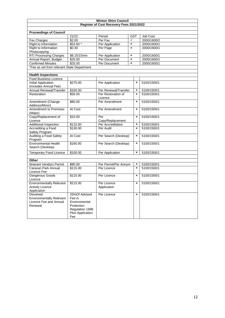| <b>Winton Shire Council</b>                                                      |                                                                                                      |                                          |                |                           |             |  |  |
|----------------------------------------------------------------------------------|------------------------------------------------------------------------------------------------------|------------------------------------------|----------------|---------------------------|-------------|--|--|
|                                                                                  |                                                                                                      | Register of Cost Recovery Fees 2021/2022 |                |                           |             |  |  |
|                                                                                  |                                                                                                      |                                          |                |                           |             |  |  |
| <b>Proceedings of Council</b>                                                    |                                                                                                      |                                          |                |                           |             |  |  |
|                                                                                  | 21/22                                                                                                | Period                                   | <b>GST</b>     |                           | Job Cost    |  |  |
| Fax Charges                                                                      | \$2.00                                                                                               | Per Fax                                  | ✓              |                           | 2000/1600/2 |  |  |
| Right to Information                                                             | \$52.60 *                                                                                            | Per Application                          | $\pmb{\times}$ |                           | 2000/1600/1 |  |  |
| Right to Information<br>Photocopying                                             | \$0.30                                                                                               | Per Page                                 | $\pmb{\times}$ |                           | 2000/1600/1 |  |  |
| <b>RTI Processing Charges</b>                                                    | \$8.15/15min                                                                                         | Per Application                          | $\pmb{\times}$ |                           | 2000/1600/1 |  |  |
| Annual Report, Budget                                                            | \$25.00                                                                                              | Per Document                             | ×              |                           | 2000/1600/1 |  |  |
| <b>Confirmed Minutes</b>                                                         | \$25.00                                                                                              | Per Document                             | $\pmb{\times}$ |                           | 2000/1600/1 |  |  |
| *Fee as set from relevant State Department                                       |                                                                                                      |                                          |                |                           |             |  |  |
|                                                                                  |                                                                                                      |                                          |                |                           |             |  |  |
| <b>Health Inspections</b>                                                        |                                                                                                      |                                          |                |                           |             |  |  |
| <b>Food Business Licence</b>                                                     |                                                                                                      |                                          |                |                           |             |  |  |
| <b>Initial Application</b><br>(Includes Annual Fee)                              | \$275.00                                                                                             | Per Application                          |                | ×                         | 5100/1500/1 |  |  |
| Annual Renewal/Transfer                                                          | \$165.00                                                                                             | Per Renewal/Transfer                     |                | ×                         | 5100/1500/1 |  |  |
| Restoration                                                                      | \$56.00                                                                                              | Per Restoration of<br>Licence            |                | $\boldsymbol{\mathsf{x}}$ | 5100/1500/1 |  |  |
| Amendment (Change<br>Address/Minor)                                              | \$80.00                                                                                              | Per Amendment                            |                | $\pmb{\times}$            | 5100/1500/1 |  |  |
| Amendment to Premises<br>(Major)                                                 | At Cost                                                                                              | Per Amendment                            |                | ×                         | 5100/1500/1 |  |  |
| Copy/Replacement of<br>Licence                                                   | \$15.00                                                                                              | Per<br>Copy/Replacement                  |                | $\pmb{\times}$            | 5100/1500/1 |  |  |
| Additional Inspection                                                            | \$115.00                                                                                             | Per Accreditation                        |                | ×                         | 5100/1500/1 |  |  |
| Accrediting a Food<br>Safety Program                                             | \$130.00                                                                                             | Per Audit                                |                | ×                         | 5100/1500/1 |  |  |
| Auditing a Food Safety<br>Program                                                | At Cost                                                                                              | Per Search (Desktop)                     |                | ×                         | 5100/1500/1 |  |  |
| <b>Environmental Health</b><br>Search (Desktop)                                  | \$160.00                                                                                             | Per Search (Desktop)                     |                | $\pmb{\times}$            | 5100/1500/1 |  |  |
| <b>Temporary Food Licence</b>                                                    | \$100.00                                                                                             | Per Application                          |                | ×                         | 5100/1500/1 |  |  |
|                                                                                  |                                                                                                      |                                          |                |                           |             |  |  |
| Other                                                                            |                                                                                                      |                                          |                |                           |             |  |  |
| Itinerant Vendors Permit                                                         | \$80.00                                                                                              | Per Permit/Per Annum                     |                | ×                         | 5100/1500/1 |  |  |
| Caravan Park Annual<br>Licence Fee                                               | \$115.00                                                                                             | Per Licence                              |                | $\mathbf{x}$              | 5100/1500/1 |  |  |
| Dangerous Goods<br>Licence                                                       | \$115.00                                                                                             | Per Licence                              |                | $\pmb{\times}$            | 5100/1500/1 |  |  |
| <b>Environmentally Relevant</b><br><b>Activity Licence</b><br>Application        | \$115.00                                                                                             | Per Licence<br>Application               |                | $\pmb{\times}$            | 5100/1500/1 |  |  |
| Devolved<br><b>Environmentally Relevant</b><br>Licence Fee and Annual<br>Renewal | 25%Of Advised<br>Fee in<br>Environmental<br>Protection<br>Regulation 1998<br>Plus Application<br>Fee | Per Licence                              |                | ×                         | 5100/1500/1 |  |  |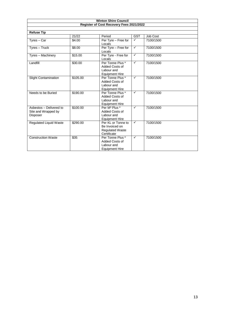|                                                            |          | <b>Winton Shire Council</b><br>Register of Cost Recovery Fees 2021/2022            |              |           |  |
|------------------------------------------------------------|----------|------------------------------------------------------------------------------------|--------------|-----------|--|
|                                                            |          |                                                                                    |              |           |  |
| <b>Refuse Tip</b>                                          |          |                                                                                    |              |           |  |
|                                                            | 21/22    | Period                                                                             | <b>GST</b>   | Job Cost  |  |
| Tyres - Car                                                | \$4.00   | Per Tyre - Free for<br>Locals                                                      | $\checkmark$ | 7100/1500 |  |
| Tyres - Truck                                              | \$8.00   | Per Tyre - Free for<br>Locals                                                      | $\checkmark$ | 7100/1500 |  |
| Tyres - Machinery                                          | \$15.00  | Per Tyre - Free for<br>Locals                                                      | $\checkmark$ | 7100/1500 |  |
| Landfill                                                   | \$30.00  | Per Tonne Plus *<br>Added Costs of<br>Labour and<br><b>Equipment Hire</b>          | $\checkmark$ | 7100/1500 |  |
| <b>Slight Contamination</b>                                | \$105.00 | Per Tonne Plus *<br>Added Costs of<br>Labour and<br><b>Equipment Hire</b>          | $\checkmark$ | 7100/1500 |  |
| Needs to be Buried                                         | \$190.00 | Per Tonne Plus *<br>Added Costs of<br>Labour and<br><b>Equipment Hire</b>          | $\checkmark$ | 7100/1500 |  |
| Asbestos - Delivered to<br>Site and Wrapped by<br>Disposer | \$100.00 | Per M <sup>3</sup> Plus *<br>Added Costs of<br>Labour and<br><b>Equipment Hire</b> | $\checkmark$ | 7100/1500 |  |
| <b>Regulated Liquid Waste</b>                              | \$290.00 | Per KL or Tonne to<br>Be Invoiced on<br><b>Regulated Waste</b><br>Certificate      | $\checkmark$ | 7100/1500 |  |
| <b>Construction Waste</b>                                  | \$35     | Per Tonne Plus *<br>Added Costs of<br>Labour and<br><b>Equipment Hire</b>          | $\checkmark$ | 7100/1500 |  |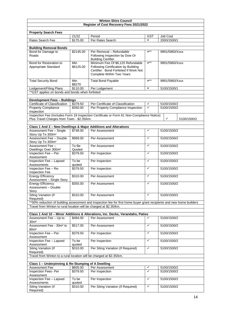| <b>Winton Shire Council</b>                                          |                                                           |                                                                                                                                                |                  |                |                |             |  |  |
|----------------------------------------------------------------------|-----------------------------------------------------------|------------------------------------------------------------------------------------------------------------------------------------------------|------------------|----------------|----------------|-------------|--|--|
| Register of Cost Recovery Fees 2021/2022                             |                                                           |                                                                                                                                                |                  |                |                |             |  |  |
| <b>Property Search Fees</b>                                          |                                                           |                                                                                                                                                |                  |                |                |             |  |  |
|                                                                      | 21/22                                                     | Period                                                                                                                                         | <b>GST</b>       |                | Job Cost       |             |  |  |
| Rates Search Fee                                                     | \$175.00                                                  | Per Rates Search                                                                                                                               | $\mathbf{x}$     | 2000/1500/1    |                |             |  |  |
|                                                                      |                                                           |                                                                                                                                                |                  |                |                |             |  |  |
| <b>Building Removal Bonds</b>                                        |                                                           |                                                                                                                                                | $x^{\star\star}$ |                |                |             |  |  |
| Bond for Damage to<br>Roads                                          | \$2145.00                                                 | Per Removal - Refundable<br>9991/5960/Xxxx<br>Following Inspection by Dow Or<br><b>Building Certifier</b>                                      |                  |                |                |             |  |  |
| Bond for Restoration to<br>Appropriate Standard                      | Min<br>\$6125.00                                          | Minimum Fee Of \$6,125 Refundable<br>Following Certification by Building<br>Certifier. Bond Forfeited If Work Not<br>Complete Within Two Years | $x^{**}$         | 9991/5960/Xxxx |                |             |  |  |
| <b>Total Security Bond</b>                                           | Min<br>\$8270                                             | <b>Total Bond Payable</b>                                                                                                                      | $x^{**}$         |                | 9991/5960/Xxxx |             |  |  |
| Lodgement/Filing Plans                                               | \$110.00                                                  | Per Lodgement                                                                                                                                  | $\pmb{\times}$   |                | 5100/1500/1    |             |  |  |
| ** GST applies on bonds and bonds when forfeited                     |                                                           |                                                                                                                                                |                  |                |                |             |  |  |
| <b>Development Fees - Buildings</b>                                  |                                                           |                                                                                                                                                |                  |                |                |             |  |  |
| Certificate of Classification                                        | \$379.50                                                  | Per Certificate of Classification                                                                                                              | ✓                |                | 5100/1500/2    |             |  |  |
| <b>Property Compliance</b>                                           | \$350.00                                                  | Per Property Compliance Inspection                                                                                                             | $\checkmark$     |                | 5100/1500/2    |             |  |  |
| Inspection<br>Plus Travel Charges from Town - \$2.35/km.             |                                                           | Inspection Fee (Includes Form 18 Inspection Certificate or Form 61 Non-Compliance Notice)                                                      |                  |                | ✓              | 5100/1500/2 |  |  |
|                                                                      |                                                           |                                                                                                                                                |                  |                |                |             |  |  |
|                                                                      | \$748.00                                                  | Class 1 And 2 - New Dwellings & Major Additions and Alterations<br>Per Assessment                                                              | $\checkmark$     |                | 5100/1500/2    |             |  |  |
| Assessment Fee - Single<br>Story Up To 300m <sup>2</sup>             |                                                           |                                                                                                                                                |                  |                |                |             |  |  |
| <b>Assessment Fee - Double</b><br>Story Up To 300m <sup>2</sup>      | $\checkmark$<br>\$968.00<br>5100/1500/2<br>Per Assessment |                                                                                                                                                |                  |                |                |             |  |  |
| Assessment Fee -<br>Dwellings Over 300m <sup>2</sup>                 | To Be<br>Quoted                                           | Per Assessment                                                                                                                                 | $\checkmark$     | 5100/1500/2    |                |             |  |  |
| Inspection Fee - Per                                                 | \$379.50                                                  | Per Inspection                                                                                                                                 | $\checkmark$     | 5100/1500/2    |                |             |  |  |
| Assessment<br>Inspection Fee - Lapsed                                | To be<br>quoted                                           | Per Inspection                                                                                                                                 | $\checkmark$     | 5100/1500/2    |                |             |  |  |
| Assessments<br>Inspection Fee - Re-<br>Inspection Fee                | \$379.50                                                  | Per Inspection                                                                                                                                 | $\checkmark$     | 5100/1500/2    |                |             |  |  |
| <b>Energy Efficiency</b><br>Assessment - Single Story                | \$310.00                                                  | Per Assessment                                                                                                                                 | $\checkmark$     | 5100/1500/2    |                |             |  |  |
| <b>Energy Efficiency</b><br>Assessment - Double<br>Story             | \$355.00                                                  | Per Assessment                                                                                                                                 | ✓                | 5100/1500/2    |                |             |  |  |
| Siting Variation (If<br>Required)                                    | \$310.00                                                  | Per Assessment                                                                                                                                 | $\checkmark$     |                | 5100/1500/2    |             |  |  |
|                                                                      |                                                           | **50% reduction of building assessment and inspection fee for first home buyer grant recipients and new home builders                          |                  |                |                |             |  |  |
| Travel from Winton to rural location will be charged at \$2.35/km.   |                                                           |                                                                                                                                                |                  |                |                |             |  |  |
|                                                                      |                                                           |                                                                                                                                                |                  |                |                |             |  |  |
| Assessment Fee - Up to                                               | \$484.00                                                  | Class 1 And 10 - Minor Additions & Alterations, Inc. Decks, Verandahs, Patios<br>Per Assessment                                                | ✓                |                | 5100/1500/2    |             |  |  |
| 30 <sup>m²</sup><br>Assessment Fee - 30m <sup>2</sup> to             |                                                           |                                                                                                                                                | $\checkmark$     |                |                |             |  |  |
| 80m <sup>2</sup>                                                     | \$517.00                                                  | Per Assessment                                                                                                                                 | $\checkmark$     |                | 5100/1500/2    |             |  |  |
| Inspection Fee - Per<br>Assessment                                   | \$379.50                                                  | Per Inspection                                                                                                                                 |                  |                | 5100/1500/2    |             |  |  |
| Inspection Fee - Lapsed<br>Assessment                                | To be<br>quoted                                           | Per Inspection                                                                                                                                 | $\checkmark$     |                | 5100/1500/2    |             |  |  |
| Siting Variation (If<br>Required)                                    | $\frac{1}{3}310.00$                                       | Per Siting Variation (If Required)                                                                                                             | $\checkmark$     |                | 5100/1500/2    |             |  |  |
| Travel from Winton to a rural location will be charged at \$2.35/km. |                                                           |                                                                                                                                                |                  |                |                |             |  |  |
| Class 1 - Underpinning & Re-Stumping of A Dwelling                   |                                                           |                                                                                                                                                |                  |                |                |             |  |  |
| Assessment Fee                                                       | \$605.00                                                  | Per Assessment                                                                                                                                 | ✓                |                | 5100/1500/2    |             |  |  |
| Inspection Fees- Per<br>Assessment                                   | \$379.50                                                  | Per Inspection                                                                                                                                 | $\checkmark$     |                | 5100/1500/2    |             |  |  |
| Inspection Fee - Lapsed<br>Assessments                               | To be<br>quoted                                           | Per Inspection                                                                                                                                 | $\checkmark$     |                | 5100/1500/2    |             |  |  |
| <b>Siting Variation (If</b><br>Required)                             | \$310.00                                                  | Per Siting Variation (If Required)                                                                                                             | $\checkmark$     |                | 5100/1500/2    |             |  |  |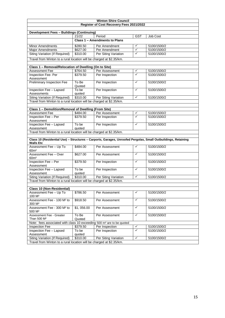| <b>Winton Shire Council</b>                                                       |                                                                      |                               |                         |                                                                                                               |  |  |  |  |  |
|-----------------------------------------------------------------------------------|----------------------------------------------------------------------|-------------------------------|-------------------------|---------------------------------------------------------------------------------------------------------------|--|--|--|--|--|
| Register of Cost Recovery Fees 2021/2022                                          |                                                                      |                               |                         |                                                                                                               |  |  |  |  |  |
|                                                                                   |                                                                      |                               |                         |                                                                                                               |  |  |  |  |  |
| <b>Development Fees - Buildings (Continuing)</b>                                  |                                                                      |                               |                         |                                                                                                               |  |  |  |  |  |
|                                                                                   | 21/22                                                                | Period                        | <b>GST</b>              | Job Cost                                                                                                      |  |  |  |  |  |
|                                                                                   |                                                                      | Class 1 - Amendments to Plans |                         |                                                                                                               |  |  |  |  |  |
| <b>Minor Amendments</b>                                                           | \$280.50                                                             | Per Amendment                 | ✓                       | 5100/1500/2                                                                                                   |  |  |  |  |  |
| <b>Major Amendments</b>                                                           | \$627.00                                                             | Per Amendment                 | $\checkmark$            | 5100/1500/2                                                                                                   |  |  |  |  |  |
| Siting Variation (If Required)                                                    | \$310.00                                                             | Per Siting Variation          | ✓                       | 5100/1500/2                                                                                                   |  |  |  |  |  |
|                                                                                   | Travel from Winton to a rural location will be charged at \$2.35/km. |                               |                         |                                                                                                               |  |  |  |  |  |
|                                                                                   |                                                                      |                               |                         |                                                                                                               |  |  |  |  |  |
| Class 1 - Removal/Relocation of Dwelling (On to Site)                             |                                                                      |                               |                         |                                                                                                               |  |  |  |  |  |
| Assessment Fee                                                                    | \$764.50                                                             | Per Assessment                | $\checkmark$            | 5100/1500/2                                                                                                   |  |  |  |  |  |
| Inspection Fee- Per                                                               | \$379.50                                                             | Per Inspection                | ✓                       | 5100/1500/2                                                                                                   |  |  |  |  |  |
| Assessment                                                                        |                                                                      |                               |                         |                                                                                                               |  |  |  |  |  |
| Preliminary Inspection Fee                                                        | To Be<br>Quoted                                                      | Per Inspection                | $\checkmark$            | 5100/1500/2                                                                                                   |  |  |  |  |  |
| Inspection Fee - Lapsed                                                           | To be                                                                | Per Inspection                | $\checkmark$            | 5100/1500/2                                                                                                   |  |  |  |  |  |
| Assessments                                                                       | quoted                                                               |                               |                         |                                                                                                               |  |  |  |  |  |
| <b>Siting Variation (If Required)</b>                                             | \$310.00                                                             | Per Siting Variation          | $\checkmark$            | 5100/1500/2                                                                                                   |  |  |  |  |  |
| Travel from Winton to a rural location will be charged at \$2.35/km.              |                                                                      |                               |                         |                                                                                                               |  |  |  |  |  |
|                                                                                   |                                                                      |                               |                         |                                                                                                               |  |  |  |  |  |
| Class 1 - Demolition/Removal of Dwelling (From Site)                              |                                                                      |                               |                         |                                                                                                               |  |  |  |  |  |
| Assessment Fee                                                                    | \$484.00                                                             | Per Assessment                | ✓                       | 5100/1500/2                                                                                                   |  |  |  |  |  |
| Inspection Fee - Per                                                              | \$379.50                                                             | Per Inspection                | $\overline{\checkmark}$ | 5100/1500/2                                                                                                   |  |  |  |  |  |
| Assessment                                                                        |                                                                      |                               |                         |                                                                                                               |  |  |  |  |  |
| Inspection Fee - Lapsed                                                           | To be                                                                | Per Inspection                | $\checkmark$            | 5100/1500/2                                                                                                   |  |  |  |  |  |
| Assessment                                                                        | quoted                                                               |                               |                         |                                                                                                               |  |  |  |  |  |
| Travel from Winton to a rural location will be charged at \$2.35/km.              |                                                                      |                               |                         |                                                                                                               |  |  |  |  |  |
|                                                                                   |                                                                      |                               |                         | Class 10 (Residential Use) - Structures - Carports, Garages, Unroofed Pergolas, Small Outbuildings, Retaining |  |  |  |  |  |
| <b>Walls Etc</b>                                                                  |                                                                      |                               |                         |                                                                                                               |  |  |  |  |  |
| Assessment Fee - Up To                                                            | \$484.00                                                             | Per Assessment                | $\checkmark$            | 5100/1500/2                                                                                                   |  |  |  |  |  |
| 60 <sup>m²</sup>                                                                  |                                                                      |                               |                         |                                                                                                               |  |  |  |  |  |
| Assessment Fee - Over                                                             | \$627.00                                                             | Per Assessment                | $\checkmark$            | 5100/1500/2                                                                                                   |  |  |  |  |  |
| 60 <sup>m²</sup>                                                                  |                                                                      |                               |                         |                                                                                                               |  |  |  |  |  |
| Inspection Fee - Per                                                              | \$379.50                                                             | Per Inspection                | ✓                       | 5100/1500/2                                                                                                   |  |  |  |  |  |
| Assessment                                                                        |                                                                      |                               |                         |                                                                                                               |  |  |  |  |  |
| Inspection Fee - Lapsed                                                           | To be                                                                | Per Inspection                | $\checkmark$            | 5100/1500/2                                                                                                   |  |  |  |  |  |
| Assessment                                                                        | quoted                                                               |                               |                         |                                                                                                               |  |  |  |  |  |
| Siting Variation (If Required)                                                    | \$310.00                                                             | Per Siting Variation          | $\checkmark$            | 5100/1500/2                                                                                                   |  |  |  |  |  |
| Travel from Winton to a rural location will be charged at \$2.35/km.              |                                                                      |                               |                         |                                                                                                               |  |  |  |  |  |
|                                                                                   |                                                                      |                               |                         |                                                                                                               |  |  |  |  |  |
| <b>Class 10 (Non-Residential)</b>                                                 |                                                                      |                               |                         |                                                                                                               |  |  |  |  |  |
| Assessment Fee - Up To<br>100 M <sup>2</sup>                                      | \$786.50                                                             | Per Assessment                | ✓                       | 5100/1500/2                                                                                                   |  |  |  |  |  |
| Assessment Fee - 100 M <sup>2</sup> to<br>300 M <sup>2</sup>                      | \$918.50                                                             | Per Assessment                | $\checkmark$            | 5100/1500/2                                                                                                   |  |  |  |  |  |
| Assessment Fee - 300 M <sup>2</sup> to<br>500 M <sup>2</sup>                      | \$1,056.00                                                           | Per Assessment                | $\checkmark$            | 5100/1500/2                                                                                                   |  |  |  |  |  |
| Assessment Fee - Greater<br>Than 500 M <sup>2</sup>                               | To Be<br>Quoted                                                      | Per Assessment                | $\checkmark$            | 5100/1500/2                                                                                                   |  |  |  |  |  |
| Note: fees associated with class 10 exceeding 500 m <sup>2</sup> are to be quoted |                                                                      |                               |                         |                                                                                                               |  |  |  |  |  |
| Inspection Fee                                                                    | \$379.50                                                             | Per Inspection                | ✓                       | 5100/1500/2                                                                                                   |  |  |  |  |  |
| Inspection Fee - Lapsed                                                           | To be                                                                | Per Inspection                | $\checkmark$            | 5100/1500/2                                                                                                   |  |  |  |  |  |
| Assessment                                                                        | quoted                                                               |                               |                         |                                                                                                               |  |  |  |  |  |
| Siting Variation (If Required)                                                    | \$310.00                                                             | Per Siting Variation          | ✓                       | 5100/1500/2                                                                                                   |  |  |  |  |  |
| Travel from Winton to a rural location will be charged at \$2.35/km.              |                                                                      |                               |                         |                                                                                                               |  |  |  |  |  |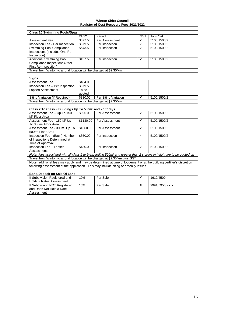| <b>Winton Shire Council</b>                                                                                                                                                                                 |                       |                                          |              |                 |  |  |  |
|-------------------------------------------------------------------------------------------------------------------------------------------------------------------------------------------------------------|-----------------------|------------------------------------------|--------------|-----------------|--|--|--|
|                                                                                                                                                                                                             |                       | Register of Cost Recovery Fees 2021/2022 |              |                 |  |  |  |
|                                                                                                                                                                                                             |                       |                                          |              |                 |  |  |  |
| <b>Class 10 Swimming Pools/Spas</b>                                                                                                                                                                         |                       |                                          |              |                 |  |  |  |
|                                                                                                                                                                                                             | 21/22                 | Period                                   | <b>GST</b>   | <b>Job Cost</b> |  |  |  |
| Assessment Fee                                                                                                                                                                                              | \$577.50              | Per Assessment                           | ✓            | 5100/1500/2     |  |  |  |
| Inspection Fee - Per Inspection                                                                                                                                                                             | \$379.50              | Per Inspection                           | $\checkmark$ | 5100/1500/2     |  |  |  |
| Swimming Pool Compliance<br>Inspections (Includes One Re-<br>Inspection)                                                                                                                                    | \$643.50              | Per Inspection                           | $\checkmark$ | 5100/1500/2     |  |  |  |
| <b>Additional Swimming Pool</b><br>Compliance Inspections (After<br>First Re-Inspection)                                                                                                                    | \$137.50              | Per Inspection                           | $\checkmark$ | 5100/1500/2     |  |  |  |
| Travel from Winton to a rural location will be charged at \$2.35/km                                                                                                                                         |                       |                                          |              |                 |  |  |  |
|                                                                                                                                                                                                             |                       |                                          |              |                 |  |  |  |
| <b>Signs</b>                                                                                                                                                                                                |                       |                                          |              |                 |  |  |  |
| <b>Assessment Fee</b>                                                                                                                                                                                       | \$484.00              |                                          |              |                 |  |  |  |
| Inspection Fee - Per Inspection                                                                                                                                                                             | \$379.50              |                                          |              |                 |  |  |  |
| <b>Lapsed Assessment</b>                                                                                                                                                                                    | To be<br>quoted       |                                          |              |                 |  |  |  |
| Siting Variation (If Required)                                                                                                                                                                              | \$310.00              | Per Siting Variation                     | ✓            | 5100/1500/2     |  |  |  |
| Travel from Winton to a rural location will be charged at \$2.35/km                                                                                                                                         |                       |                                          |              |                 |  |  |  |
|                                                                                                                                                                                                             |                       |                                          |              |                 |  |  |  |
| Class 2 To Class 9 Buildings Up To 500m <sup>2</sup> and 2 Storeys                                                                                                                                          |                       |                                          |              |                 |  |  |  |
| Assessment Fee - Up To 150<br>M <sup>2</sup> Floor Area                                                                                                                                                     | \$895.00              | Per Assessment                           | ✓            | 5100/1500/2     |  |  |  |
| Assessment Fee - 150 M <sup>2</sup> Up<br>To 300m <sup>2</sup> Floor Area                                                                                                                                   | \$1130.00             | Per Assessment                           | $\checkmark$ | 5100/1500/2     |  |  |  |
| Assessment Fee - 300m <sup>2</sup> Up To<br>500m <sup>2</sup> Floor Area                                                                                                                                    | $\overline{$}1660.00$ | Per Assessment                           | ✓            | 5100/1500/2     |  |  |  |
| Inspection Fee -(Each) Number<br>of Inspections Determined at<br>Time of Approval                                                                                                                           | \$350.00              | Per Inspection                           | ✓            | 5100/1500/2     |  |  |  |
| <b>Inspection Fee - Lapsed</b><br>Assessments                                                                                                                                                               | \$430.00              | Per Inspection                           | ✓            | 5100/1500/2     |  |  |  |
| Note: fees associated with all class 2 to 9 exceeding 500m <sup>2</sup> and greater than 2 storeys in height are to be quoted on                                                                            |                       |                                          |              |                 |  |  |  |
| Travel from Winton to a rural location will be charged at \$2.35/km plus GST.                                                                                                                               |                       |                                          |              |                 |  |  |  |
| Note: additional fees may apply and may be determined at time of lodgement or at the building certifier's discretion<br>following assessment of the application. This may include siting or amenity issues. |                       |                                          |              |                 |  |  |  |
|                                                                                                                                                                                                             |                       |                                          |              |                 |  |  |  |
| <b>Bond/Deposit on Sale Of Land</b>                                                                                                                                                                         |                       |                                          |              |                 |  |  |  |
| If Subdivision Registered and<br>Holds a Rates Assessment                                                                                                                                                   | 10%                   | Per Sale                                 | ✓            | 1610/4500       |  |  |  |
| If Subdivision NOT Registered<br>and Does Not Hold a Rate<br>Assessment                                                                                                                                     | 10%                   | Per Sale                                 | $\mathbf{x}$ | 9991/5955/Xxxx  |  |  |  |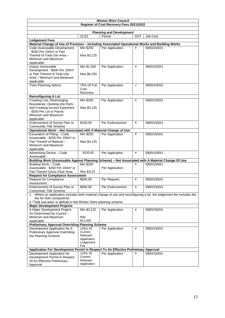|                                                                                                   |                  | <b>Winton Shire Council</b>              |                |                                                                                                                   |
|---------------------------------------------------------------------------------------------------|------------------|------------------------------------------|----------------|-------------------------------------------------------------------------------------------------------------------|
|                                                                                                   |                  | Register of Cost Recovery Fees 2021/2022 |                |                                                                                                                   |
|                                                                                                   |                  |                                          |                |                                                                                                                   |
|                                                                                                   |                  | <b>Planning and Development</b>          |                |                                                                                                                   |
|                                                                                                   | 21/22            | Period                                   | <b>GST</b>     | Job Cost                                                                                                          |
| <b>Lodgement Fees</b>                                                                             |                  |                                          |                |                                                                                                                   |
| Material Change of Use of Premises - Including Associated Operational Works and Building Works    |                  |                                          |                |                                                                                                                   |
| Code Assessable Development                                                                       | Min \$250        | Per Application                          | ×              | 5900/1500/1                                                                                                       |
| - \$250 Per 100m <sup>2</sup> or Part                                                             |                  |                                          |                |                                                                                                                   |
| Thereof of Total Use Area -<br>Minimum and Maximum                                                | Max \$3,125      |                                          |                |                                                                                                                   |
| Applicable                                                                                        |                  |                                          |                |                                                                                                                   |
| Impact Assessable                                                                                 | Min \$1,000      | Per Application                          | $\pmb{\times}$ | 5900/1500/1                                                                                                       |
| Development - \$500 Per 100m <sup>2</sup>                                                         |                  |                                          |                |                                                                                                                   |
| or Part Thereof of Total Use                                                                      | Max \$6,250      |                                          |                |                                                                                                                   |
| Area – Minimum and Maximum                                                                        |                  |                                          |                |                                                                                                                   |
| Applicable                                                                                        |                  |                                          |                |                                                                                                                   |
| <b>Town Planning Advice</b>                                                                       | 75% Of Full      | Per Application                          | $\checkmark$   | 5900/1500/2                                                                                                       |
|                                                                                                   | Cost             |                                          |                |                                                                                                                   |
|                                                                                                   | Recovery         |                                          |                |                                                                                                                   |
| <b>Reconfiguring A Lot</b>                                                                        |                  |                                          |                |                                                                                                                   |
| Creating Lots, Rearranging                                                                        | Min \$250        | Per Application                          | $\pmb{\times}$ | 5900/1500/1                                                                                                       |
| Boundaries, Dividing into Parts                                                                   |                  |                                          |                |                                                                                                                   |
| and Creating Access Easement                                                                      | Max \$3,125      |                                          |                |                                                                                                                   |
| - \$250 Per Lot or Parcel,                                                                        |                  |                                          |                |                                                                                                                   |
| Minimum and Maximum                                                                               |                  |                                          |                |                                                                                                                   |
| Applicable<br>Endorsement of Survey Plan or                                                       | \$100.00         | Per Endorsement                          | ×              | 5900/1500/1                                                                                                       |
| <b>Community Title Scheme</b>                                                                     |                  |                                          |                |                                                                                                                   |
| Operational Work - Not Associated with A Material Change of Use                                   |                  |                                          |                |                                                                                                                   |
| Excavation of Filling - Code                                                                      | Min \$250        | Per Application                          | $\pmb{\times}$ | 5900/1500/1                                                                                                       |
| Assessable - \$250 Per 100m <sup>3</sup> or                                                       |                  |                                          |                |                                                                                                                   |
| Part Thereof of Material -                                                                        | Max \$3,125      |                                          |                |                                                                                                                   |
| Minimum and Maximum                                                                               |                  |                                          |                |                                                                                                                   |
| Applicable                                                                                        |                  |                                          |                |                                                                                                                   |
| Advertising Device - Code                                                                         | \$150.00         | Per Application                          | $\pmb{\times}$ | 5900/1500/1                                                                                                       |
| Assessable                                                                                        |                  |                                          |                |                                                                                                                   |
| Building Work (Assessable Against Planning Scheme) - Not Associated with A Material Change Of Use |                  |                                          |                |                                                                                                                   |
| <b>Building Work - Code</b>                                                                       | Min \$250        |                                          | $\pmb{\times}$ | 5900/1500/1                                                                                                       |
| Assessable - \$250 Per 100m <sup>2</sup> or                                                       |                  | Per Application                          |                |                                                                                                                   |
| Part Thereof Gross Floor Area                                                                     | Max \$3125       |                                          |                |                                                                                                                   |
| <b>Request for Compliance Assessment</b>                                                          |                  |                                          |                |                                                                                                                   |
| <b>Request for Compliance</b>                                                                     | \$585.00         | Per Request                              | $\pmb{\times}$ | 5900/1500/1                                                                                                       |
| Assessment                                                                                        |                  |                                          |                |                                                                                                                   |
| Endorsement of Survey Plan or                                                                     | \$585.00         | Per Endorsement                          | $\pmb{\times}$ | 5900/1500/1                                                                                                       |
| <b>Community Title Scheme</b><br>1                                                                |                  |                                          |                | Where an application includes both material change of use and reconfiguring a lot, the lodgement fee includes the |
| fee for both components                                                                           |                  |                                          |                |                                                                                                                   |
| 2 "Total use area" is defined in the Winton Shire planning scheme                                 |                  |                                          |                |                                                                                                                   |
| <b>Major Development Projects</b>                                                                 |                  |                                          |                |                                                                                                                   |
| A Major Development Project,                                                                      | Min \$3,125      | Per Application                          | ×              | 5900/1500/1                                                                                                       |
| As Determined by Council -                                                                        |                  |                                          |                |                                                                                                                   |
| Minimum and Maximum                                                                               | Max              |                                          |                |                                                                                                                   |
| Applicable                                                                                        | \$12,500         |                                          |                |                                                                                                                   |
| <b>Preliminary Approval Overriding Planning Scheme</b>                                            |                  |                                          |                |                                                                                                                   |
| Development Application for A                                                                     | 125% Of          | Per Application                          | ×              | 5900/1500/1                                                                                                       |
| <b>Preliminary Approval Overriding</b>                                                            | Current,         |                                          |                |                                                                                                                   |
| the Planning Scheme                                                                               | Relevant         |                                          |                |                                                                                                                   |
|                                                                                                   | Application      |                                          |                |                                                                                                                   |
|                                                                                                   | Lodgement<br>Fee |                                          |                |                                                                                                                   |
| Application For Development Permit In Respect To An Effective Preliminary Approval                |                  |                                          |                |                                                                                                                   |
| Development Application for                                                                       | 125% Of          | Per Application                          | ×              | 5900/1500/1                                                                                                       |
| Development Permit in Respect                                                                     | Current,         |                                          |                |                                                                                                                   |
| Of An Effective Preliminary                                                                       | Relevant         |                                          |                |                                                                                                                   |
| Approval                                                                                          | Application      |                                          |                |                                                                                                                   |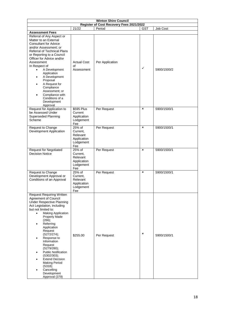| <b>Winton Shire Council</b>                                                                                                                                                                                                                                                                                                                                                                                                                                                                   |                                                                   |                                                    |                |             |  |
|-----------------------------------------------------------------------------------------------------------------------------------------------------------------------------------------------------------------------------------------------------------------------------------------------------------------------------------------------------------------------------------------------------------------------------------------------------------------------------------------------|-------------------------------------------------------------------|----------------------------------------------------|----------------|-------------|--|
|                                                                                                                                                                                                                                                                                                                                                                                                                                                                                               | 21/22                                                             | Register of Cost Recovery Fees 2021/2022<br>Period | <b>GST</b>     |             |  |
| <b>Assessment Fees</b>                                                                                                                                                                                                                                                                                                                                                                                                                                                                        |                                                                   |                                                    |                | Job Cost    |  |
| Referral of Any Aspect or<br>Matter to an External<br><b>Consultant for Advice</b><br>and/or Assessment; or<br>Referral of Technical Plans<br>or Reporting to a Council<br>Officer for Advice and/or<br>Assessment<br>In Respect of<br>A Development<br>Application<br>A Development<br>Proposal<br>A Request for<br>Compliance<br>Assessment; or<br>Compliance with<br>Conditions of a<br>Development<br>Approval                                                                            | <b>Actual Cost</b><br>of<br>Assessment                            | Per Application                                    | $\checkmark$   | 5900/1500/2 |  |
| Request for Application to<br>be Assessed Under<br><b>Superseded Planning</b><br>Scheme                                                                                                                                                                                                                                                                                                                                                                                                       | \$595 Plus<br>Current<br>Application<br>Lodgement<br>Fee          | Per Request                                        | $\pmb{\times}$ | 5900/1500/1 |  |
| Request to Change<br>Development Application                                                                                                                                                                                                                                                                                                                                                                                                                                                  | 25% of<br>Current.<br>Relevant<br>Application<br>Lodgement<br>Fee | Per Request                                        | $\mathbf{x}$   | 5900/1500/1 |  |
| <b>Request for Negotiated</b><br><b>Decision Notice</b>                                                                                                                                                                                                                                                                                                                                                                                                                                       | 25% of<br>Current,<br>Relevant<br>Application<br>Lodgement<br>Fee | Per Request                                        | $\pmb{\times}$ | 5900/1500/1 |  |
| Request to Change<br>Development Approval or<br>Conditions of an Approval                                                                                                                                                                                                                                                                                                                                                                                                                     | 25% of<br>Current,<br>Relevant<br>Application<br>Lodgement<br>Fee | Per Request                                        | $\pmb{\times}$ | 5900/1500/1 |  |
| <b>Request Requiring Written</b><br>Agreement of Council<br><b>Under Respective Planning</b><br>Act Legislation, including<br>but not limited to:<br><b>Making Application</b><br>$\bullet$<br>Properly Made<br>(266);<br>Referring<br>Application<br>Request<br>(S272/274);<br>Response to<br>Information<br>Request<br>(S279/280);<br><b>Public Notification</b><br>(S302/303);<br><b>Extend Decision</b><br><b>Making Period</b><br>(S318);<br>Cancelling<br>Development<br>Approval (379) | \$255.00                                                          | Per Request                                        | $\pmb{\times}$ | 5900/1500/1 |  |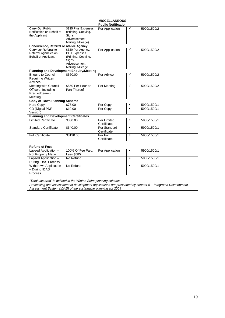|                                                                             |                                                                                                           | <b>MISCELLANEOUS</b>        |                |             |
|-----------------------------------------------------------------------------|-----------------------------------------------------------------------------------------------------------|-----------------------------|----------------|-------------|
|                                                                             |                                                                                                           | <b>Public Notification</b>  |                |             |
| Carry Out Public<br>Notification on Behalf of<br>the Applicant              | \$335 Plus Expenses<br>(Printing, Copying,<br>Signs,<br>Advertisement,<br>Mailing, Mileage)               | Per Application             | $\checkmark$   | 5900/1500/2 |
| <b>Concurrence, Referral or Advice Agency</b>                               |                                                                                                           |                             |                |             |
| Carry our Referral to<br>Referral Agencies on<br><b>Behalf of Applicant</b> | \$320 Per Agency,<br>Plus Expenses<br>(Printing, Copying,<br>Signs,<br>Advertisement.<br>Mailing, Mileage | Per Application             | ✓              | 5900/1500/2 |
| <b>Planning and Development Enquiry/Meeting</b>                             |                                                                                                           |                             |                |             |
| <b>Enquiry to Council</b><br><b>Requiring Written</b><br>Advices            | \$560.00                                                                                                  | Per Advice                  | ✓              | 5900/1500/2 |
| Meeting with Council<br>Officers, Including<br>Pre-Lodgement<br>Meeting     | \$550 Per Hour or<br>Part Thereof                                                                         | Per Meeting                 | $\checkmark$   | 5900/1500/2 |
| <b>Copy of Town Planning Scheme</b>                                         |                                                                                                           |                             |                |             |
| Hard Copy                                                                   | \$75.00                                                                                                   | Per Copy                    | ×              | 5900/1500/1 |
| <b>CD</b> (Digital PDF<br>Version)                                          | \$10.00                                                                                                   | Per Copy                    | $\mathbf{x}$   | 5900/1500/1 |
| <b>Planning and Development Certificates</b>                                |                                                                                                           |                             |                |             |
| <b>Limited Certificate</b>                                                  | \$330.00                                                                                                  | Per Limited<br>Certificate  | $\pmb{\times}$ | 5900/1500/1 |
| <b>Standard Certificate</b>                                                 | \$640.00                                                                                                  | Per Standard<br>Certificate | ×              | 5900/1500/1 |
| <b>Full Certificate</b>                                                     | \$3190.00                                                                                                 | Per Full<br>Certificate     | ×              | 5900/1500/1 |
|                                                                             |                                                                                                           |                             |                |             |
| <b>Refund of Fees</b>                                                       |                                                                                                           |                             |                |             |
| Lapsed Application -<br>Not Properly Made                                   | 100% Of Fee Paid,<br><b>Less \$585</b>                                                                    | Per Application             | ×              | 5900/1500/1 |
| Lapsed Application -<br><b>During IDAS Process</b>                          | No Refund                                                                                                 |                             | ×              | 5900/1500/1 |
| Withdrawn Application<br>- During IDAS<br>Process                           | No Refund                                                                                                 |                             | $\pmb{\times}$ | 5900/1500/1 |
|                                                                             |                                                                                                           |                             |                |             |
| "Total use area" is defined in the Winton Shire planning scheme             |                                                                                                           |                             |                |             |

*Processing and assessment of development applications are prescribed by chapter 6 – Integrated Development Assessment System (IDAS) of the sustainable planning act 2009*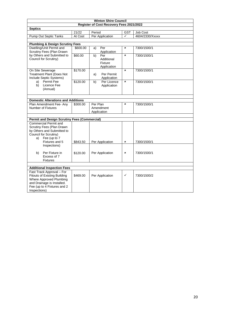| <b>Winton Shire Council</b>                                                                                                                                              |          |                                                   |                |                 |  |
|--------------------------------------------------------------------------------------------------------------------------------------------------------------------------|----------|---------------------------------------------------|----------------|-----------------|--|
|                                                                                                                                                                          |          | Register of Cost Recovery Fees 2021/2022          |                |                 |  |
| <b>Septics</b>                                                                                                                                                           |          |                                                   |                |                 |  |
|                                                                                                                                                                          | 21/22    | Period                                            | <b>GST</b>     | Job Cost        |  |
| <b>Pump Out Septic Tanks</b>                                                                                                                                             | At Cost  | Per Application                                   | $\checkmark$   | 4604/2330/Xxxxx |  |
|                                                                                                                                                                          |          |                                                   |                |                 |  |
| <b>Plumbing &amp; Design Scrutiny Fees</b>                                                                                                                               |          |                                                   |                |                 |  |
| Dwelling/Unit Permit and<br>Scrutiny Fees (Plan Drawn                                                                                                                    | \$600.00 | Per<br>a)<br>Application                          | $\pmb{\times}$ | 7300/1500/1     |  |
| by Others and Submitted to<br>Council for Scrutiny)                                                                                                                      | \$60.00  | Per<br>b)<br>Additional<br>Fixture<br>Application | $\mathbf{x}$   | 7300/1500/1     |  |
| On Site Sewerage<br><b>Treatment Plant (Does Not</b><br>Include Septic Systems)                                                                                          | \$170.00 | Per Permit<br>a)<br>Application                   | $\pmb{\times}$ | 7300/1500/1     |  |
| Permit Fee<br>a)<br>Licence Fee<br>b)<br>(Annual)                                                                                                                        | \$120.00 | Per Licence<br>b)<br>Application                  | $\pmb{\times}$ | 7300/1500/1     |  |
|                                                                                                                                                                          |          |                                                   |                |                 |  |
| <b>Domestic Alterations and Additions</b>                                                                                                                                |          |                                                   |                |                 |  |
| Plan Amendment Fee- Any<br>Number of Fixtures                                                                                                                            | \$300.00 | Per Plan<br>Amendment<br>Application              | $\mathbf{x}$   | 7300/1500/1     |  |
|                                                                                                                                                                          |          |                                                   |                |                 |  |
| <b>Permit and Design Scrutiny Fees (Commercial)</b>                                                                                                                      |          |                                                   |                |                 |  |
| <b>Commercial Permit and</b><br>Scrutiny Fees (Plan Drawn<br>by Others and Submitted to<br>Council for Scrutiny)<br>Fee (up to 7<br>a)<br>Fixtures and 5                 | \$843.50 | Per Application                                   | ×              | 7300/1500/1     |  |
| Inspections)<br>Per Fixture in<br>b)<br>Excess of 7<br><b>Fixtures</b>                                                                                                   | \$120.00 | Per Application                                   | ×              | 7300/1500/1     |  |
| <b>Additional Inspection Fees</b>                                                                                                                                        |          |                                                   |                |                 |  |
| Fast Track Approval - For<br><b>Fitouts of Existing Building</b><br>Where Approved Plumbing<br>and Drainage is Installed.<br>Fee (up to 4 Fixtures and 2<br>Inspections) | \$469.00 | Per Application                                   | $\checkmark$   | 7300/1500/2     |  |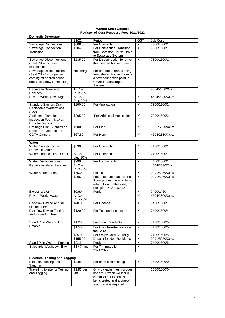| <b>Winton Shire Council</b>                           |                     |                                                 |                |                                  |  |  |  |
|-------------------------------------------------------|---------------------|-------------------------------------------------|----------------|----------------------------------|--|--|--|
|                                                       |                     | Register of Cost Recovery Fees 2021/2022        |                |                                  |  |  |  |
| <b>Domestic Sewerage</b>                              |                     |                                                 |                |                                  |  |  |  |
|                                                       | 21/22               | Period                                          | <b>GST</b>     | <b>Job Cost</b>                  |  |  |  |
| <b>Sewerage Connections</b>                           | \$608.00            | Per Connection                                  | ×              | 7300/1500/1                      |  |  |  |
| Sewerage Connection                                   | \$304.00            | Per Connection Transition                       | ×              | 7300/1500/1                      |  |  |  |
| Transition                                            |                     | from Common House Drain                         |                |                                  |  |  |  |
|                                                       |                     | to Sewerage System                              |                |                                  |  |  |  |
| Sewerage Disconnections                               | \$285.00            | Per Disconnection for other                     | $\mathbf{x}$   | 7300/1500/1                      |  |  |  |
| (Seal Off - Including                                 |                     | than shared house drains.                       |                |                                  |  |  |  |
| Inspection)                                           |                     |                                                 |                |                                  |  |  |  |
| <b>Sewerage Disconnections</b>                        | No charge           | For properties transitioning                    |                |                                  |  |  |  |
| (Seal Off - for properties<br>coming off shared house |                     | from shared house drains to                     |                |                                  |  |  |  |
| drains to a new connection)                           |                     | a new connection point in<br>Council's Sewerage |                |                                  |  |  |  |
|                                                       |                     | System.                                         |                |                                  |  |  |  |
| <b>Repairs to Sewerage</b>                            | At Cost             |                                                 | $\checkmark$   | 4604/2330/Xxxx                   |  |  |  |
| <b>Services</b>                                       | <b>Plus 20%</b>     |                                                 |                |                                  |  |  |  |
| Private Works Sewerage                                | At Cost             |                                                 | $\checkmark$   | 4604/2330/Xxxx                   |  |  |  |
|                                                       | <b>Plus 20%</b>     |                                                 |                |                                  |  |  |  |
| <b>Standard Sanitary Drain</b>                        | \$290.00            | Per Application                                 | ✓              | 7300/1500/2                      |  |  |  |
| Replacement/Alterations                               |                     |                                                 |                |                                  |  |  |  |
| (Fee)                                                 |                     |                                                 |                |                                  |  |  |  |
| <b>Additional Plumbing</b>                            | \$205.00            | Per Additional Application                      | ✓              | 7300/1500/2                      |  |  |  |
| Inspection Fee - Max 1/2                              |                     |                                                 |                |                                  |  |  |  |
| Hour Inspection                                       |                     |                                                 |                |                                  |  |  |  |
| Drainage Plan Submission                              | \$600.00            | Per Plan                                        | $\pmb{\times}$ | 9991/5960/Xxxx                   |  |  |  |
| Bond - Refundable Fee                                 |                     |                                                 |                |                                  |  |  |  |
| <b>CCTV Camera</b>                                    | \$67.50             | Per Hour                                        | ✓              | 4604/2330/Xxxx                   |  |  |  |
|                                                       |                     |                                                 |                |                                  |  |  |  |
| Water                                                 |                     |                                                 |                |                                  |  |  |  |
| Water Connections -                                   | \$590.00            | Per Connection                                  | ×              | 7400/1500/1                      |  |  |  |
| Domestic 25mm                                         |                     |                                                 |                |                                  |  |  |  |
| Water Connections - Other                             | At Cost.            | Per Connection                                  | ×              | 7400/1500/1                      |  |  |  |
|                                                       | plus 20%            |                                                 |                |                                  |  |  |  |
| <b>Water Disconnections</b>                           | \$290.00            | Per Disconnection                               | ×<br>✓         | 7400/1500/1                      |  |  |  |
| <b>Repairs to Water Services</b>                      | At Cost             |                                                 |                | 4604/2330/Xxxx                   |  |  |  |
|                                                       | <b>Plus 20%</b>     |                                                 | $\pmb{\times}$ |                                  |  |  |  |
| <b>Water Meter Testing</b>                            | \$75.00<br>\$305.00 | Per Test<br>Fee to be taken as a Bond.          | $\mathbf{x}$   | 9991/5960/Xxxx<br>9991/5960/Xxxx |  |  |  |
|                                                       |                     | If test proves meter at fault,                  |                |                                  |  |  |  |
|                                                       |                     | refund Bond, otherwise,                         |                |                                  |  |  |  |
|                                                       |                     | receipt to 7400/1500/2                          |                |                                  |  |  |  |
| <b>Excess Water</b>                                   | \$0.60              | Per/kl                                          | ×              | 7400/1450                        |  |  |  |
| Private Works Water                                   | At Cost             |                                                 | ✓              | 4604/2300/Xxxx                   |  |  |  |
|                                                       | <b>Plus 20%</b>     |                                                 |                |                                  |  |  |  |
| <b>Backflow Device Annual</b>                         | \$40.00             | Per Licence                                     | ×              | 7400/1500/1                      |  |  |  |
| Licence Fee                                           |                     |                                                 |                |                                  |  |  |  |
| <b>Backflow Device Testing</b>                        | \$120.00            | Per Test and Inspection                         | ✓              | 7400/1500/4                      |  |  |  |
| and Inspection Fee                                    |                     |                                                 |                |                                  |  |  |  |
|                                                       |                     |                                                 |                |                                  |  |  |  |
| Stand Pipe Water- Non-                                | \$1.25              | For Local Residents                             | ×              | 7400/1500/5                      |  |  |  |
| Potable                                               | \$1.55              | Per kl for Non-Residents of                     | ×              | 7400/1500/5                      |  |  |  |
|                                                       |                     | the Shire                                       |                |                                  |  |  |  |
|                                                       | \$35.00             | Per Swipe Card/Annually                         | ×              | 7400/1500/5                      |  |  |  |
|                                                       | \$155.00            | Deposit for Non-Residents                       | ×              | 9991/5950/Xxxx                   |  |  |  |
| Stand Pipe Water - Potable                            | \$2.15              | Per/kl                                          | ×              | 7400/1500/5                      |  |  |  |
| Saleyards Washdown Bay                                | $$1 / 7$ mins       | Per 7 minutes for                               | ×              |                                  |  |  |  |
|                                                       |                     | 2021/2022                                       |                |                                  |  |  |  |
|                                                       |                     |                                                 |                |                                  |  |  |  |
| <b>Electrical Testing and Tagging</b>                 |                     |                                                 |                |                                  |  |  |  |
| <b>Electrical Testing and</b>                         | \$3.85              | Per each electrical tag                         | ✓              | 2500/1500/0                      |  |  |  |
| Tagging                                               |                     |                                                 |                |                                  |  |  |  |
| Travelling to site for Testing                        | \$1.93 per          | Only payable if testing does                    | ✓              | 2500/1500/0                      |  |  |  |
| and Tagging                                           | km                  | not occur when Council's                        |                |                                  |  |  |  |
|                                                       |                     | electrical equipment is                         |                |                                  |  |  |  |
|                                                       |                     | being tested and a one-off                      |                |                                  |  |  |  |
|                                                       |                     | visit to site is required.                      |                |                                  |  |  |  |